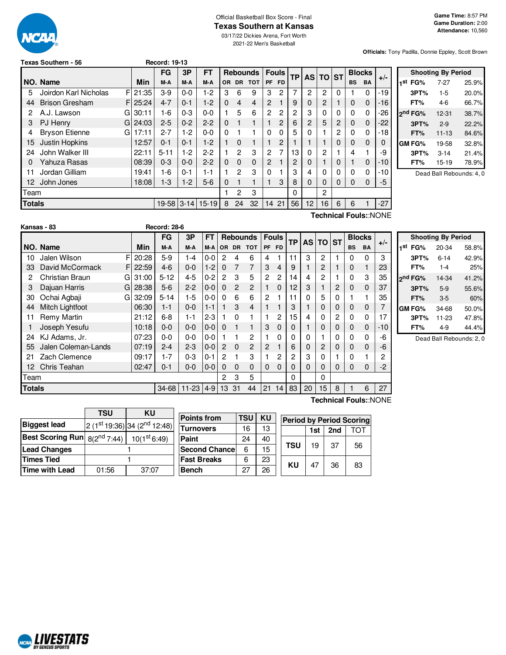

#### Official Basketball Box Score - Final **Texas Southern at Kansas**

03/17/22 Dickies Arena, Fort Worth

2021-22 Men's Basketball

**Officials:** Tony Padilla, Donnie Eppley, Scott Brown

|               |                             | FG<br>3P<br>FТ<br><b>Rebounds</b> |            |         |           | Fouls<br><b>TP</b> |           |            | AS TO ST       |           | <b>Blocks</b> |                |                |          |           |             |       |
|---------------|-----------------------------|-----------------------------------|------------|---------|-----------|--------------------|-----------|------------|----------------|-----------|---------------|----------------|----------------|----------|-----------|-------------|-------|
|               | NO. Name                    | Min                               | M-A        | M-A     | M-A       | OR.                | <b>DR</b> | <b>TOT</b> | <b>PF</b>      | <b>FD</b> |               |                |                |          | <b>BS</b> | <b>BA</b>   | $+/-$ |
| 5             | Joirdon Karl Nicholas       | FI 21:35                          | $3-9$      | $0-0$   | 1-2       | 3                  | 6         | 9          | 3              | 2         | 7             | $\overline{c}$ | $\overline{c}$ | $\Omega$ |           | 0           | $-19$ |
| 44            | <b>Brison Gresham</b><br>F. | 25:24                             | $4 - 7$    | $0 - 1$ | $1 - 2$   | $\Omega$           | 4         | 4          | $\overline{2}$ |           | 9             | 0              | 2              |          | 0         | $\Omega$    | $-16$ |
| 2             | A.J. Lawson<br>GI           | 30:11                             | $1-6$      | $0 - 3$ | $0 - 0$   |                    | 5         | 6          | 2              | 2         | 2             | 3              | 0              |          | 0         | 0           | $-26$ |
| 3             | PJ Henry                    | $G$ 24:03                         | $2 - 5$    | $0 - 2$ | $2 - 2$   | $\Omega$           |           | 1          |                | 2         | 6             | 2              | 5              | 2        | 0         | 0           | $-22$ |
| 4             | <b>Bryson Etienne</b><br>GI | 17:11                             | $2 - 7$    | 1-2     | 0-0       | $\Omega$           |           |            | 0              | 0         | 5             | 0              |                | 2        | 0         | 0           | $-18$ |
| 15            | Justin Hopkins              | 12:57                             | $0 - 1$    | $0 - 1$ | $1-2$     |                    | 0         |            |                | 2         |               |                |                |          | $\Omega$  | $\Omega$    | 0     |
| 24            | John Walker III             | 22:11                             | $5 - 11$   | $1-2$   | $2-2$     |                    | 2         | 3          | 2              | 7         | 13            | 0              | 2              |          | 4         |             | -9    |
| 0             | Yahuza Rasas                | 08:39                             | $0 - 3$    | $0 - 0$ | $2 - 2$   | $\Omega$           | 0         | 0          | 2              |           | 2             | 0              |                |          |           | $\mathbf 0$ | $-10$ |
| 11            | Jordan Gilliam              | 19:41                             | $1-6$      | $0 - 1$ | 1-1       |                    | 2         | 3          | 0              |           | 3             | 4              | 0              |          | 0         | 0           | $-10$ |
| 12.           | John Jones                  | 18:08                             | $1-3$      | $1-2$   | $5-6$     | $\Omega$           |           |            |                | 3         | 8             | $\Omega$       | 0              | 0        | $\Omega$  | $\Omega$    | -5    |
| Team          |                             |                                   |            |         |           |                    | 2         | 3          |                |           | 0             |                | 2              |          |           |             |       |
| <b>Totals</b> |                             |                                   | 19-58 3-14 |         | $15 - 19$ | 8                  | 24        | 32         | 14             | 21        | 56            | 12             | 16             | 6        | 6         |             | $-27$ |
|               | Technical Fouls::NONE       |                                   |            |         |           |                    |           |            |                |           |               |                |                |          |           |             |       |

**Texas Southern - 56 Record: 19-13**

|     |                     | <b>Shooting By Period</b> |       |
|-----|---------------------|---------------------------|-------|
| 1st | FG%                 | 7-27                      | 25.9% |
|     | 3PT%                | $1-5$                     | 20.0% |
|     | FT%                 | $4-6$                     | 66.7% |
|     | 2 <sup>nd</sup> FG% | 12-31                     | 38.7% |
|     | 3PT%                | $2 - 9$                   | 22.2% |
|     | FT%                 | $11 - 13$                 | 84.6% |
|     | GM FG%              | 19-58                     | 32.8% |
|     | 3PT%                | $3 - 14$                  | 21.4% |
|     | FT%                 | $15-19$                   | 78.9% |

Dead Ball Rebounds: 4, 0

|               | Kansas - 83         |   |       | <b>Record: 28-6</b> |           |         |                |               |                 |                |              |    |                 |          |              |               |             |       |
|---------------|---------------------|---|-------|---------------------|-----------|---------|----------------|---------------|-----------------|----------------|--------------|----|-----------------|----------|--------------|---------------|-------------|-------|
|               |                     |   |       | FG                  | 3P        | FT      |                |               | <b>Rebounds</b> |                | <b>Fouls</b> | ТP | AS <sub>1</sub> | TO ST    |              | <b>Blocks</b> |             | $+/-$ |
|               | NO. Name            |   | Min   | M-A                 | M-A       | M-A     |                |               | OR DR TOT       |                | PF FD        |    |                 |          |              | <b>BS</b>     | <b>BA</b>   |       |
| 10            | Jalen Wilson        | F | 20:28 | $5-9$               | $1 - 4$   | $0 - 0$ | $\overline{c}$ | 4             | 6               | 4              |              | 11 | 3               | 2        |              | <sup>0</sup>  | 0           | 3     |
| 33            | David McCormack     |   | 22:59 | $4-6$               | $0 - 0$   | $1 - 2$ | $\Omega$       | 7             | $\overline{7}$  | 3              | 4            | 9  |                 | 2        | $\mathbf{1}$ | $\Omega$      |             | 23    |
| 2             | Christian Braun     | G | 31:00 | $5 - 12$            | $4 - 5$   | $0 - 2$ | $\mathcal{P}$  | 3             | 5               | 2              | 2            | 14 | 4               | 2        |              |               | 3           | 35    |
| 3             | Dajuan Harris       | G | 28:38 | $5-6$               | $2 - 2$   | $0 - 0$ | $\Omega$       | $\mathcal{P}$ | $\overline{2}$  |                | $\Omega$     | 12 | 3               |          | 2            | $\Omega$      | $\mathbf 0$ | 37    |
| 30            | Ochai Agbaji        | G | 32:09 | $5 - 14$            | $1-5$     | $0 - 0$ | $\Omega$       | 6             | 6               | 2              |              | 11 | 0               | 5        | 0            |               |             | 35    |
| 44            | Mitch Lightfoot     |   | 06:30 | 1-1                 | $0 - 0$   | $1 - 1$ |                | 3             | $\overline{4}$  |                |              | 3  |                 | 0        | 0            | $\Omega$      | $\Omega$    |       |
|               | Remy Martin         |   | 21:12 | $6 - 8$             | $1 - 1$   | $2 - 3$ |                | $\Omega$      |                 |                | 2            | 15 | 4               | $\Omega$ | 2            | $\Omega$      | 0           | 17    |
|               | Joseph Yesufu       |   | 10:18 | $0 - 0$             | $0 - 0$   | $0 - 0$ | $\Omega$       |               | 1               | 3              | $\Omega$     | 0  |                 | 0        | 0            | $\Omega$      | $\mathbf 0$ | $-10$ |
| 24            | KJ Adams, Jr.       |   | 07:23 | $0 - 0$             | $0 - 0$   | $0 - 0$ |                |               | $\overline{2}$  |                | 0            | 0  | 0               |          | $\Omega$     | $\Omega$      | $\Omega$    | -6    |
| 55            | Jalen Coleman-Lands |   | 07:19 | $2 - 4$             | $2 - 3$   | $0 - 0$ | $\overline{2}$ | $\Omega$      | 2               | $\overline{2}$ |              | 6  | 0               | 2        | 0            | $\Omega$      | $\mathbf 0$ | -6    |
| 21            | Zach Clemence       |   | 09:17 | $1 - 7$             | $0 - 3$   | $0 - 1$ | $\overline{c}$ |               | 3               |                | 2            | 2  | 3               | $\Omega$ |              | $\Omega$      |             | 2     |
| 12            | Chris Teahan        |   | 02:47 | $0 - 1$             | $0 - 0$   | $0 - 0$ | $\Omega$       | $\Omega$      | $\Omega$        | $\Omega$       | $\Omega$     | 0  | 0               | $\Omega$ | $\Omega$     | $\Omega$      | $\mathbf 0$ | $-2$  |
| Геаm          |                     |   |       |                     |           |         | 2              | 3             | 5               |                |              | 0  |                 | $\Omega$ |              |               |             |       |
| <b>Totals</b> |                     |   |       | 34-68               | $11 - 23$ | $4-9$   | 13             | 31            | 44              | 21             | 14           | 83 | 20              | 15       | 8            |               | 6           | 27    |

|      | <b>Shooting By Period</b> |          |       |  |  |  |  |  |  |
|------|---------------------------|----------|-------|--|--|--|--|--|--|
| 1 St | FG%                       | 20-34    | 58.8% |  |  |  |  |  |  |
|      | 3PT%                      | $6 - 14$ | 42.9% |  |  |  |  |  |  |
|      | FT%                       | $1 - 4$  | 25%   |  |  |  |  |  |  |
|      | 2nd FG%                   | 14-34    | 41.2% |  |  |  |  |  |  |
|      | 3PT%                      | $5-9$    | 55.6% |  |  |  |  |  |  |
|      | FT%                       | $3-5$    | 60%   |  |  |  |  |  |  |
|      | <b>GM FG%</b>             | 34-68    | 50.0% |  |  |  |  |  |  |
|      | 3PT%                      | 11-23    | 47.8% |  |  |  |  |  |  |
|      | FT%                       | $4-9$    | 44.4% |  |  |  |  |  |  |

Dead Ball Rebounds: 2, 0

|                                     | 2 (1st 19:36) 34 (2 <sup>nd</sup> 12:48) |
|-------------------------------------|------------------------------------------|
| Best Scoring Run $_{8(2^{nd}7:44)}$ | 10(1 <sup>st</sup> 6:49)                 |
|                                     |                                          |
|                                     |                                          |
| 01:56                               | 37:07                                    |
|                                     |                                          |

| <b>Points from</b>    | TSU | ΚU | <b>Period by Period Scoring</b> |     |     |    |  |
|-----------------------|-----|----|---------------------------------|-----|-----|----|--|
| <b>Turnovers</b>      | 16  | 13 |                                 | 1st | 2nd |    |  |
| Paint                 | 24  | 40 |                                 |     | 37  |    |  |
| <b>Second Chancel</b> | 6   | 15 | <b>TSU</b>                      | 19  |     | 56 |  |
| <b>Fast Breaks</b>    | 6   | 23 | KU                              |     |     |    |  |
| <b>Bench</b>          | 27  | 26 |                                 | 47  | 36  | 83 |  |

**Technical Fouls:**:NONE

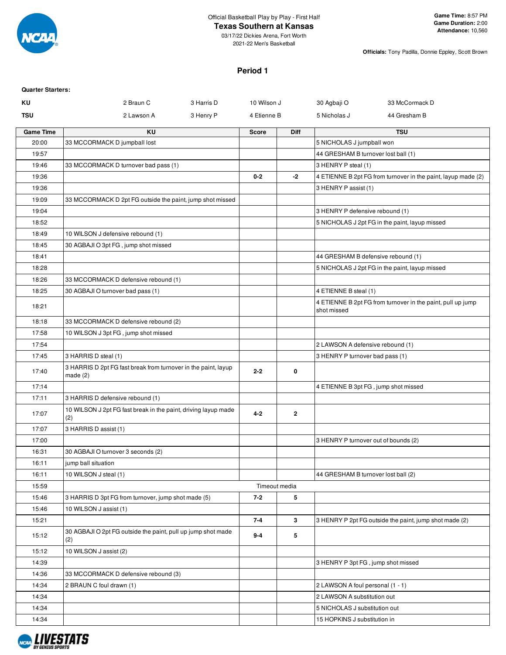

# **Texas Southern at Kansas**

**Officials:** Tony Padilla, Donnie Eppley, Scott Brown

### **Period 1**

| ΚU<br>33 McCormack D<br>2 Braun C<br>3 Harris D<br>10 Wilson J<br>30 Agbaji O<br><b>TSU</b><br>3 Henry P<br>5 Nicholas J<br>44 Gresham B<br>2 Lawson A<br>4 Etienne B<br><b>Game Time</b><br><b>KU</b><br><b>TSU</b><br><b>Score</b><br><b>Diff</b><br>20:00<br>33 MCCORMACK D jumpball lost<br>5 NICHOLAS J jumpball won<br>44 GRESHAM B turnover lost ball (1)<br>19:57<br>19:46<br>33 MCCORMACK D turnover bad pass (1)<br>3 HENRY P steal (1)<br>$0 - 2$<br>-2<br>19:36<br>4 ETIENNE B 2pt FG from turnover in the paint, layup made (2)<br>3 HENRY P assist (1)<br>19:36<br>19:09<br>33 MCCORMACK D 2pt FG outside the paint, jump shot missed<br>19:04<br>3 HENRY P defensive rebound (1)<br>18:52<br>5 NICHOLAS J 2pt FG in the paint, layup missed<br>18:49<br>10 WILSON J defensive rebound (1)<br>18:45<br>30 AGBAJI O 3pt FG, jump shot missed<br>18:41<br>44 GRESHAM B defensive rebound (1)<br>18:28<br>5 NICHOLAS J 2pt FG in the paint, layup missed<br>18:26<br>33 MCCORMACK D defensive rebound (1)<br>18:25<br>30 AGBAJI O turnover bad pass (1)<br>4 ETIENNE B steal (1)<br>4 ETIENNE B 2pt FG from turnover in the paint, pull up jump<br>18:21<br>shot missed<br>18:18<br>33 MCCORMACK D defensive rebound (2)<br>17:58<br>10 WILSON J 3pt FG, jump shot missed<br>17:54<br>2 LAWSON A defensive rebound (1)<br>3 HARRIS D steal (1)<br>17:45<br>3 HENRY P turnover bad pass (1)<br>3 HARRIS D 2pt FG fast break from turnover in the paint, layup<br>$2 - 2$<br>0<br>17:40<br>made $(2)$<br>17:14<br>4 ETIENNE B 3pt FG, jump shot missed<br>17:11<br>3 HARRIS D defensive rebound (1)<br>10 WILSON J 2pt FG fast break in the paint, driving layup made<br>$4 - 2$<br>$\mathbf{2}$<br>17:07<br>(2)<br>3 HARRIS D assist (1)<br>17:07<br>3 HENRY P turnover out of bounds (2)<br>17:00<br>16:31<br>30 AGBAJI O turnover 3 seconds (2)<br>jump ball situation<br>16:11<br>10 WILSON J steal (1)<br>16:11<br>44 GRESHAM B turnover lost ball (2)<br>15:59<br>Timeout media<br>5<br>15:46<br>3 HARRIS D 3pt FG from turnover, jump shot made (5)<br>$7 - 2$<br>15:46<br>10 WILSON J assist (1)<br>15:21<br>$7 - 4$<br>$\mathbf{3}$<br>3 HENRY P 2pt FG outside the paint, jump shot made (2)<br>30 AGBAJI O 2pt FG outside the paint, pull up jump shot made<br>5<br>15:12<br>$9 - 4$<br>(2)<br>10 WILSON J assist (2)<br>15:12<br>14:39<br>3 HENRY P 3pt FG, jump shot missed<br>14:36<br>33 MCCORMACK D defensive rebound (3)<br>14:34<br>2 BRAUN C foul drawn (1)<br>2 LAWSON A foul personal (1 - 1)<br>14:34<br>2 LAWSON A substitution out<br>14:34<br>5 NICHOLAS J substitution out<br>14:34<br>15 HOPKINS J substitution in | <b>Quarter Starters:</b> |  |  |  |
|--------------------------------------------------------------------------------------------------------------------------------------------------------------------------------------------------------------------------------------------------------------------------------------------------------------------------------------------------------------------------------------------------------------------------------------------------------------------------------------------------------------------------------------------------------------------------------------------------------------------------------------------------------------------------------------------------------------------------------------------------------------------------------------------------------------------------------------------------------------------------------------------------------------------------------------------------------------------------------------------------------------------------------------------------------------------------------------------------------------------------------------------------------------------------------------------------------------------------------------------------------------------------------------------------------------------------------------------------------------------------------------------------------------------------------------------------------------------------------------------------------------------------------------------------------------------------------------------------------------------------------------------------------------------------------------------------------------------------------------------------------------------------------------------------------------------------------------------------------------------------------------------------------------------------------------------------------------------------------------------------------------------------------------------------------------------------------------------------------------------------------------------------------------------------------------------------------------------------------------------------------------------------------------------------------------------------------------------------------------------------------------------------------------------------------------------------------------------------------------------------------------------------------------------------------------------------------------------------------------------------------------------------------|--------------------------|--|--|--|
|                                                                                                                                                                                                                                                                                                                                                                                                                                                                                                                                                                                                                                                                                                                                                                                                                                                                                                                                                                                                                                                                                                                                                                                                                                                                                                                                                                                                                                                                                                                                                                                                                                                                                                                                                                                                                                                                                                                                                                                                                                                                                                                                                                                                                                                                                                                                                                                                                                                                                                                                                                                                                                                        |                          |  |  |  |
|                                                                                                                                                                                                                                                                                                                                                                                                                                                                                                                                                                                                                                                                                                                                                                                                                                                                                                                                                                                                                                                                                                                                                                                                                                                                                                                                                                                                                                                                                                                                                                                                                                                                                                                                                                                                                                                                                                                                                                                                                                                                                                                                                                                                                                                                                                                                                                                                                                                                                                                                                                                                                                                        |                          |  |  |  |
|                                                                                                                                                                                                                                                                                                                                                                                                                                                                                                                                                                                                                                                                                                                                                                                                                                                                                                                                                                                                                                                                                                                                                                                                                                                                                                                                                                                                                                                                                                                                                                                                                                                                                                                                                                                                                                                                                                                                                                                                                                                                                                                                                                                                                                                                                                                                                                                                                                                                                                                                                                                                                                                        |                          |  |  |  |
|                                                                                                                                                                                                                                                                                                                                                                                                                                                                                                                                                                                                                                                                                                                                                                                                                                                                                                                                                                                                                                                                                                                                                                                                                                                                                                                                                                                                                                                                                                                                                                                                                                                                                                                                                                                                                                                                                                                                                                                                                                                                                                                                                                                                                                                                                                                                                                                                                                                                                                                                                                                                                                                        |                          |  |  |  |
|                                                                                                                                                                                                                                                                                                                                                                                                                                                                                                                                                                                                                                                                                                                                                                                                                                                                                                                                                                                                                                                                                                                                                                                                                                                                                                                                                                                                                                                                                                                                                                                                                                                                                                                                                                                                                                                                                                                                                                                                                                                                                                                                                                                                                                                                                                                                                                                                                                                                                                                                                                                                                                                        |                          |  |  |  |
|                                                                                                                                                                                                                                                                                                                                                                                                                                                                                                                                                                                                                                                                                                                                                                                                                                                                                                                                                                                                                                                                                                                                                                                                                                                                                                                                                                                                                                                                                                                                                                                                                                                                                                                                                                                                                                                                                                                                                                                                                                                                                                                                                                                                                                                                                                                                                                                                                                                                                                                                                                                                                                                        |                          |  |  |  |
|                                                                                                                                                                                                                                                                                                                                                                                                                                                                                                                                                                                                                                                                                                                                                                                                                                                                                                                                                                                                                                                                                                                                                                                                                                                                                                                                                                                                                                                                                                                                                                                                                                                                                                                                                                                                                                                                                                                                                                                                                                                                                                                                                                                                                                                                                                                                                                                                                                                                                                                                                                                                                                                        |                          |  |  |  |
|                                                                                                                                                                                                                                                                                                                                                                                                                                                                                                                                                                                                                                                                                                                                                                                                                                                                                                                                                                                                                                                                                                                                                                                                                                                                                                                                                                                                                                                                                                                                                                                                                                                                                                                                                                                                                                                                                                                                                                                                                                                                                                                                                                                                                                                                                                                                                                                                                                                                                                                                                                                                                                                        |                          |  |  |  |
|                                                                                                                                                                                                                                                                                                                                                                                                                                                                                                                                                                                                                                                                                                                                                                                                                                                                                                                                                                                                                                                                                                                                                                                                                                                                                                                                                                                                                                                                                                                                                                                                                                                                                                                                                                                                                                                                                                                                                                                                                                                                                                                                                                                                                                                                                                                                                                                                                                                                                                                                                                                                                                                        |                          |  |  |  |
|                                                                                                                                                                                                                                                                                                                                                                                                                                                                                                                                                                                                                                                                                                                                                                                                                                                                                                                                                                                                                                                                                                                                                                                                                                                                                                                                                                                                                                                                                                                                                                                                                                                                                                                                                                                                                                                                                                                                                                                                                                                                                                                                                                                                                                                                                                                                                                                                                                                                                                                                                                                                                                                        |                          |  |  |  |
|                                                                                                                                                                                                                                                                                                                                                                                                                                                                                                                                                                                                                                                                                                                                                                                                                                                                                                                                                                                                                                                                                                                                                                                                                                                                                                                                                                                                                                                                                                                                                                                                                                                                                                                                                                                                                                                                                                                                                                                                                                                                                                                                                                                                                                                                                                                                                                                                                                                                                                                                                                                                                                                        |                          |  |  |  |
|                                                                                                                                                                                                                                                                                                                                                                                                                                                                                                                                                                                                                                                                                                                                                                                                                                                                                                                                                                                                                                                                                                                                                                                                                                                                                                                                                                                                                                                                                                                                                                                                                                                                                                                                                                                                                                                                                                                                                                                                                                                                                                                                                                                                                                                                                                                                                                                                                                                                                                                                                                                                                                                        |                          |  |  |  |
|                                                                                                                                                                                                                                                                                                                                                                                                                                                                                                                                                                                                                                                                                                                                                                                                                                                                                                                                                                                                                                                                                                                                                                                                                                                                                                                                                                                                                                                                                                                                                                                                                                                                                                                                                                                                                                                                                                                                                                                                                                                                                                                                                                                                                                                                                                                                                                                                                                                                                                                                                                                                                                                        |                          |  |  |  |
|                                                                                                                                                                                                                                                                                                                                                                                                                                                                                                                                                                                                                                                                                                                                                                                                                                                                                                                                                                                                                                                                                                                                                                                                                                                                                                                                                                                                                                                                                                                                                                                                                                                                                                                                                                                                                                                                                                                                                                                                                                                                                                                                                                                                                                                                                                                                                                                                                                                                                                                                                                                                                                                        |                          |  |  |  |
|                                                                                                                                                                                                                                                                                                                                                                                                                                                                                                                                                                                                                                                                                                                                                                                                                                                                                                                                                                                                                                                                                                                                                                                                                                                                                                                                                                                                                                                                                                                                                                                                                                                                                                                                                                                                                                                                                                                                                                                                                                                                                                                                                                                                                                                                                                                                                                                                                                                                                                                                                                                                                                                        |                          |  |  |  |
|                                                                                                                                                                                                                                                                                                                                                                                                                                                                                                                                                                                                                                                                                                                                                                                                                                                                                                                                                                                                                                                                                                                                                                                                                                                                                                                                                                                                                                                                                                                                                                                                                                                                                                                                                                                                                                                                                                                                                                                                                                                                                                                                                                                                                                                                                                                                                                                                                                                                                                                                                                                                                                                        |                          |  |  |  |
|                                                                                                                                                                                                                                                                                                                                                                                                                                                                                                                                                                                                                                                                                                                                                                                                                                                                                                                                                                                                                                                                                                                                                                                                                                                                                                                                                                                                                                                                                                                                                                                                                                                                                                                                                                                                                                                                                                                                                                                                                                                                                                                                                                                                                                                                                                                                                                                                                                                                                                                                                                                                                                                        |                          |  |  |  |
|                                                                                                                                                                                                                                                                                                                                                                                                                                                                                                                                                                                                                                                                                                                                                                                                                                                                                                                                                                                                                                                                                                                                                                                                                                                                                                                                                                                                                                                                                                                                                                                                                                                                                                                                                                                                                                                                                                                                                                                                                                                                                                                                                                                                                                                                                                                                                                                                                                                                                                                                                                                                                                                        |                          |  |  |  |
|                                                                                                                                                                                                                                                                                                                                                                                                                                                                                                                                                                                                                                                                                                                                                                                                                                                                                                                                                                                                                                                                                                                                                                                                                                                                                                                                                                                                                                                                                                                                                                                                                                                                                                                                                                                                                                                                                                                                                                                                                                                                                                                                                                                                                                                                                                                                                                                                                                                                                                                                                                                                                                                        |                          |  |  |  |
|                                                                                                                                                                                                                                                                                                                                                                                                                                                                                                                                                                                                                                                                                                                                                                                                                                                                                                                                                                                                                                                                                                                                                                                                                                                                                                                                                                                                                                                                                                                                                                                                                                                                                                                                                                                                                                                                                                                                                                                                                                                                                                                                                                                                                                                                                                                                                                                                                                                                                                                                                                                                                                                        |                          |  |  |  |
|                                                                                                                                                                                                                                                                                                                                                                                                                                                                                                                                                                                                                                                                                                                                                                                                                                                                                                                                                                                                                                                                                                                                                                                                                                                                                                                                                                                                                                                                                                                                                                                                                                                                                                                                                                                                                                                                                                                                                                                                                                                                                                                                                                                                                                                                                                                                                                                                                                                                                                                                                                                                                                                        |                          |  |  |  |
|                                                                                                                                                                                                                                                                                                                                                                                                                                                                                                                                                                                                                                                                                                                                                                                                                                                                                                                                                                                                                                                                                                                                                                                                                                                                                                                                                                                                                                                                                                                                                                                                                                                                                                                                                                                                                                                                                                                                                                                                                                                                                                                                                                                                                                                                                                                                                                                                                                                                                                                                                                                                                                                        |                          |  |  |  |
|                                                                                                                                                                                                                                                                                                                                                                                                                                                                                                                                                                                                                                                                                                                                                                                                                                                                                                                                                                                                                                                                                                                                                                                                                                                                                                                                                                                                                                                                                                                                                                                                                                                                                                                                                                                                                                                                                                                                                                                                                                                                                                                                                                                                                                                                                                                                                                                                                                                                                                                                                                                                                                                        |                          |  |  |  |
|                                                                                                                                                                                                                                                                                                                                                                                                                                                                                                                                                                                                                                                                                                                                                                                                                                                                                                                                                                                                                                                                                                                                                                                                                                                                                                                                                                                                                                                                                                                                                                                                                                                                                                                                                                                                                                                                                                                                                                                                                                                                                                                                                                                                                                                                                                                                                                                                                                                                                                                                                                                                                                                        |                          |  |  |  |
|                                                                                                                                                                                                                                                                                                                                                                                                                                                                                                                                                                                                                                                                                                                                                                                                                                                                                                                                                                                                                                                                                                                                                                                                                                                                                                                                                                                                                                                                                                                                                                                                                                                                                                                                                                                                                                                                                                                                                                                                                                                                                                                                                                                                                                                                                                                                                                                                                                                                                                                                                                                                                                                        |                          |  |  |  |
|                                                                                                                                                                                                                                                                                                                                                                                                                                                                                                                                                                                                                                                                                                                                                                                                                                                                                                                                                                                                                                                                                                                                                                                                                                                                                                                                                                                                                                                                                                                                                                                                                                                                                                                                                                                                                                                                                                                                                                                                                                                                                                                                                                                                                                                                                                                                                                                                                                                                                                                                                                                                                                                        |                          |  |  |  |
|                                                                                                                                                                                                                                                                                                                                                                                                                                                                                                                                                                                                                                                                                                                                                                                                                                                                                                                                                                                                                                                                                                                                                                                                                                                                                                                                                                                                                                                                                                                                                                                                                                                                                                                                                                                                                                                                                                                                                                                                                                                                                                                                                                                                                                                                                                                                                                                                                                                                                                                                                                                                                                                        |                          |  |  |  |
|                                                                                                                                                                                                                                                                                                                                                                                                                                                                                                                                                                                                                                                                                                                                                                                                                                                                                                                                                                                                                                                                                                                                                                                                                                                                                                                                                                                                                                                                                                                                                                                                                                                                                                                                                                                                                                                                                                                                                                                                                                                                                                                                                                                                                                                                                                                                                                                                                                                                                                                                                                                                                                                        |                          |  |  |  |
|                                                                                                                                                                                                                                                                                                                                                                                                                                                                                                                                                                                                                                                                                                                                                                                                                                                                                                                                                                                                                                                                                                                                                                                                                                                                                                                                                                                                                                                                                                                                                                                                                                                                                                                                                                                                                                                                                                                                                                                                                                                                                                                                                                                                                                                                                                                                                                                                                                                                                                                                                                                                                                                        |                          |  |  |  |
|                                                                                                                                                                                                                                                                                                                                                                                                                                                                                                                                                                                                                                                                                                                                                                                                                                                                                                                                                                                                                                                                                                                                                                                                                                                                                                                                                                                                                                                                                                                                                                                                                                                                                                                                                                                                                                                                                                                                                                                                                                                                                                                                                                                                                                                                                                                                                                                                                                                                                                                                                                                                                                                        |                          |  |  |  |
|                                                                                                                                                                                                                                                                                                                                                                                                                                                                                                                                                                                                                                                                                                                                                                                                                                                                                                                                                                                                                                                                                                                                                                                                                                                                                                                                                                                                                                                                                                                                                                                                                                                                                                                                                                                                                                                                                                                                                                                                                                                                                                                                                                                                                                                                                                                                                                                                                                                                                                                                                                                                                                                        |                          |  |  |  |
|                                                                                                                                                                                                                                                                                                                                                                                                                                                                                                                                                                                                                                                                                                                                                                                                                                                                                                                                                                                                                                                                                                                                                                                                                                                                                                                                                                                                                                                                                                                                                                                                                                                                                                                                                                                                                                                                                                                                                                                                                                                                                                                                                                                                                                                                                                                                                                                                                                                                                                                                                                                                                                                        |                          |  |  |  |
|                                                                                                                                                                                                                                                                                                                                                                                                                                                                                                                                                                                                                                                                                                                                                                                                                                                                                                                                                                                                                                                                                                                                                                                                                                                                                                                                                                                                                                                                                                                                                                                                                                                                                                                                                                                                                                                                                                                                                                                                                                                                                                                                                                                                                                                                                                                                                                                                                                                                                                                                                                                                                                                        |                          |  |  |  |
|                                                                                                                                                                                                                                                                                                                                                                                                                                                                                                                                                                                                                                                                                                                                                                                                                                                                                                                                                                                                                                                                                                                                                                                                                                                                                                                                                                                                                                                                                                                                                                                                                                                                                                                                                                                                                                                                                                                                                                                                                                                                                                                                                                                                                                                                                                                                                                                                                                                                                                                                                                                                                                                        |                          |  |  |  |
|                                                                                                                                                                                                                                                                                                                                                                                                                                                                                                                                                                                                                                                                                                                                                                                                                                                                                                                                                                                                                                                                                                                                                                                                                                                                                                                                                                                                                                                                                                                                                                                                                                                                                                                                                                                                                                                                                                                                                                                                                                                                                                                                                                                                                                                                                                                                                                                                                                                                                                                                                                                                                                                        |                          |  |  |  |
|                                                                                                                                                                                                                                                                                                                                                                                                                                                                                                                                                                                                                                                                                                                                                                                                                                                                                                                                                                                                                                                                                                                                                                                                                                                                                                                                                                                                                                                                                                                                                                                                                                                                                                                                                                                                                                                                                                                                                                                                                                                                                                                                                                                                                                                                                                                                                                                                                                                                                                                                                                                                                                                        |                          |  |  |  |
|                                                                                                                                                                                                                                                                                                                                                                                                                                                                                                                                                                                                                                                                                                                                                                                                                                                                                                                                                                                                                                                                                                                                                                                                                                                                                                                                                                                                                                                                                                                                                                                                                                                                                                                                                                                                                                                                                                                                                                                                                                                                                                                                                                                                                                                                                                                                                                                                                                                                                                                                                                                                                                                        |                          |  |  |  |
|                                                                                                                                                                                                                                                                                                                                                                                                                                                                                                                                                                                                                                                                                                                                                                                                                                                                                                                                                                                                                                                                                                                                                                                                                                                                                                                                                                                                                                                                                                                                                                                                                                                                                                                                                                                                                                                                                                                                                                                                                                                                                                                                                                                                                                                                                                                                                                                                                                                                                                                                                                                                                                                        |                          |  |  |  |
|                                                                                                                                                                                                                                                                                                                                                                                                                                                                                                                                                                                                                                                                                                                                                                                                                                                                                                                                                                                                                                                                                                                                                                                                                                                                                                                                                                                                                                                                                                                                                                                                                                                                                                                                                                                                                                                                                                                                                                                                                                                                                                                                                                                                                                                                                                                                                                                                                                                                                                                                                                                                                                                        |                          |  |  |  |
|                                                                                                                                                                                                                                                                                                                                                                                                                                                                                                                                                                                                                                                                                                                                                                                                                                                                                                                                                                                                                                                                                                                                                                                                                                                                                                                                                                                                                                                                                                                                                                                                                                                                                                                                                                                                                                                                                                                                                                                                                                                                                                                                                                                                                                                                                                                                                                                                                                                                                                                                                                                                                                                        |                          |  |  |  |
|                                                                                                                                                                                                                                                                                                                                                                                                                                                                                                                                                                                                                                                                                                                                                                                                                                                                                                                                                                                                                                                                                                                                                                                                                                                                                                                                                                                                                                                                                                                                                                                                                                                                                                                                                                                                                                                                                                                                                                                                                                                                                                                                                                                                                                                                                                                                                                                                                                                                                                                                                                                                                                                        |                          |  |  |  |
|                                                                                                                                                                                                                                                                                                                                                                                                                                                                                                                                                                                                                                                                                                                                                                                                                                                                                                                                                                                                                                                                                                                                                                                                                                                                                                                                                                                                                                                                                                                                                                                                                                                                                                                                                                                                                                                                                                                                                                                                                                                                                                                                                                                                                                                                                                                                                                                                                                                                                                                                                                                                                                                        |                          |  |  |  |
|                                                                                                                                                                                                                                                                                                                                                                                                                                                                                                                                                                                                                                                                                                                                                                                                                                                                                                                                                                                                                                                                                                                                                                                                                                                                                                                                                                                                                                                                                                                                                                                                                                                                                                                                                                                                                                                                                                                                                                                                                                                                                                                                                                                                                                                                                                                                                                                                                                                                                                                                                                                                                                                        |                          |  |  |  |

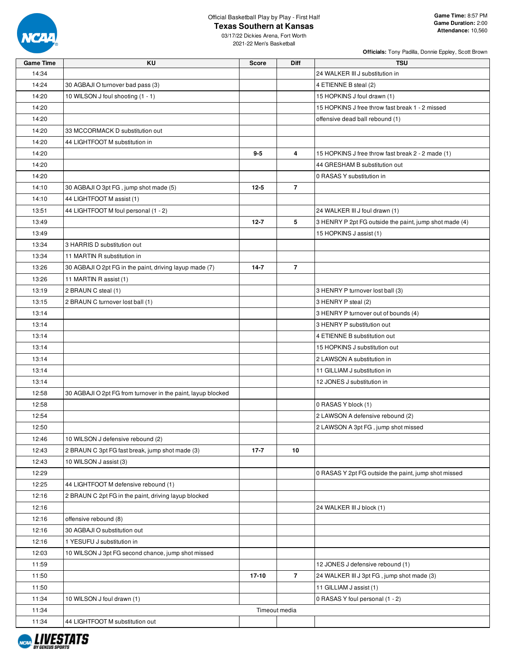

# **Texas Southern at Kansas**

**Officials:** Tony Padilla, Donnie Eppley, Scott Brown

03/17/22 Dickies Arena, Fort Worth 2021-22 Men's Basketball

| <b>Game Time</b> | KU                                                           | <b>Score</b> | Diff           | <b>TSU</b>                                             |
|------------------|--------------------------------------------------------------|--------------|----------------|--------------------------------------------------------|
| 14:34            |                                                              |              |                | 24 WALKER III J substitution in                        |
| 14:24            | 30 AGBAJI O turnover bad pass (3)                            |              |                | 4 ETIENNE B steal (2)                                  |
| 14:20            | 10 WILSON J foul shooting (1 - 1)                            |              |                | 15 HOPKINS J foul drawn (1)                            |
| 14:20            |                                                              |              |                | 15 HOPKINS J free throw fast break 1 - 2 missed        |
| 14:20            |                                                              |              |                | offensive dead ball rebound (1)                        |
| 14:20            | 33 MCCORMACK D substitution out                              |              |                |                                                        |
| 14:20            | 44 LIGHTFOOT M substitution in                               |              |                |                                                        |
| 14:20            |                                                              | $9 - 5$      | 4              | 15 HOPKINS J free throw fast break 2 - 2 made (1)      |
| 14:20            |                                                              |              |                | 44 GRESHAM B substitution out                          |
| 14:20            |                                                              |              |                | 0 RASAS Y substitution in                              |
| 14:10            | 30 AGBAJI O 3pt FG, jump shot made (5)                       | $12 - 5$     | $\overline{7}$ |                                                        |
| 14:10            | 44 LIGHTFOOT M assist (1)                                    |              |                |                                                        |
| 13:51            | 44 LIGHTFOOT M foul personal (1 - 2)                         |              |                | 24 WALKER III J foul drawn (1)                         |
| 13:49            |                                                              | $12 - 7$     | 5              | 3 HENRY P 2pt FG outside the paint, jump shot made (4) |
| 13:49            |                                                              |              |                | 15 HOPKINS J assist (1)                                |
| 13:34            | 3 HARRIS D substitution out                                  |              |                |                                                        |
| 13:34            | 11 MARTIN R substitution in                                  |              |                |                                                        |
| 13:26            | 30 AGBAJI O 2pt FG in the paint, driving layup made (7)      | $14 - 7$     | $\overline{7}$ |                                                        |
| 13:26            | 11 MARTIN R assist (1)                                       |              |                |                                                        |
| 13:19            | 2 BRAUN C steal (1)                                          |              |                | 3 HENRY P turnover lost ball (3)                       |
| 13:15            | 2 BRAUN C turnover lost ball (1)                             |              |                | 3 HENRY P steal (2)                                    |
| 13:14            |                                                              |              |                | 3 HENRY P turnover out of bounds (4)                   |
| 13:14            |                                                              |              |                | 3 HENRY P substitution out                             |
| 13:14            |                                                              |              |                | 4 ETIENNE B substitution out                           |
| 13:14            |                                                              |              |                | 15 HOPKINS J substitution out                          |
| 13:14            |                                                              |              |                | 2 LAWSON A substitution in                             |
| 13:14            |                                                              |              |                | 11 GILLIAM J substitution in                           |
| 13:14            |                                                              |              |                | 12 JONES J substitution in                             |
| 12:58            | 30 AGBAJI O 2pt FG from turnover in the paint, layup blocked |              |                |                                                        |
| 12:58            |                                                              |              |                | 0 RASAS Y block (1)                                    |
| 12:54            |                                                              |              |                | 2 LAWSON A defensive rebound (2)                       |
| 12:50            |                                                              |              |                | 2 LAWSON A 3pt FG, jump shot missed                    |
| 12:46            | 10 WILSON J defensive rebound (2)                            |              |                |                                                        |
| 12:43            | 2 BRAUN C 3pt FG fast break, jump shot made (3)              | $17 - 7$     | 10             |                                                        |
| 12:43            | 10 WILSON J assist (3)                                       |              |                |                                                        |
| 12:29            |                                                              |              |                | 0 RASAS Y 2pt FG outside the paint, jump shot missed   |
| 12:25            | 44 LIGHTFOOT M defensive rebound (1)                         |              |                |                                                        |
| 12:16            | 2 BRAUN C 2pt FG in the paint, driving layup blocked         |              |                |                                                        |
| 12:16            |                                                              |              |                | 24 WALKER III J block (1)                              |
| 12:16            | offensive rebound (8)                                        |              |                |                                                        |
| 12:16            | 30 AGBAJI O substitution out                                 |              |                |                                                        |
| 12:16            | 1 YESUFU J substitution in                                   |              |                |                                                        |
| 12:03            | 10 WILSON J 3pt FG second chance, jump shot missed           |              |                |                                                        |
| 11:59            |                                                              |              |                | 12 JONES J defensive rebound (1)                       |
| 11:50            |                                                              | 17-10        | $\overline{7}$ | 24 WALKER III J 3pt FG, jump shot made (3)             |
| 11:50            |                                                              |              |                | 11 GILLIAM J assist (1)                                |
| 11:34            | 10 WILSON J foul drawn (1)                                   |              |                | 0 RASAS Y foul personal (1 - 2)                        |
| 11:34            |                                                              |              | Timeout media  |                                                        |
| 11:34            | 44 LIGHTFOOT M substitution out                              |              |                |                                                        |

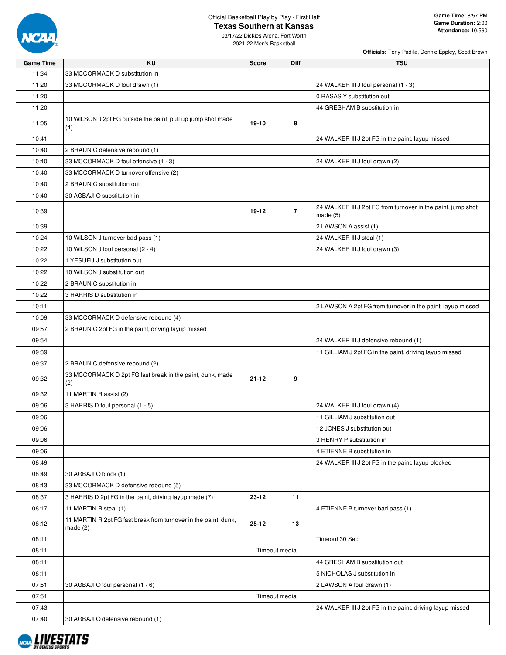

# **Texas Southern at Kansas**

03/17/22 Dickies Arena, Fort Worth 2021-22 Men's Basketball

| <b>Officials:</b> Tony Padilla, Donnie Eppley, Scott Brown |  |  |  |
|------------------------------------------------------------|--|--|--|
|                                                            |  |  |  |

| <b>Game Time</b> | KU                                                                            | <b>Score</b> | <b>Diff</b>    | <b>TSU</b>                                                              |
|------------------|-------------------------------------------------------------------------------|--------------|----------------|-------------------------------------------------------------------------|
| 11:34            | 33 MCCORMACK D substitution in                                                |              |                |                                                                         |
| 11:20            | 33 MCCORMACK D foul drawn (1)                                                 |              |                | 24 WALKER III J foul personal (1 - 3)                                   |
| 11:20            |                                                                               |              |                | 0 RASAS Y substitution out                                              |
| 11:20            |                                                                               |              |                | 44 GRESHAM B substitution in                                            |
| 11:05            | 10 WILSON J 2pt FG outside the paint, pull up jump shot made<br>(4)           | 19-10        | 9              |                                                                         |
| 10:41            |                                                                               |              |                | 24 WALKER III J 2pt FG in the paint, layup missed                       |
| 10:40            | 2 BRAUN C defensive rebound (1)                                               |              |                |                                                                         |
| 10:40            | 33 MCCORMACK D foul offensive (1 - 3)                                         |              |                | 24 WALKER III J foul drawn (2)                                          |
| 10:40            | 33 MCCORMACK D turnover offensive (2)                                         |              |                |                                                                         |
| 10:40            | 2 BRAUN C substitution out                                                    |              |                |                                                                         |
| 10:40            | 30 AGBAJI O substitution in                                                   |              |                |                                                                         |
| 10:39            |                                                                               | 19-12        | $\overline{7}$ | 24 WALKER III J 2pt FG from turnover in the paint, jump shot<br>made(5) |
| 10:39            |                                                                               |              |                | 2 LAWSON A assist (1)                                                   |
| 10:24            | 10 WILSON J turnover bad pass (1)                                             |              |                | 24 WALKER III J steal (1)                                               |
| 10:22            | 10 WILSON J foul personal (2 - 4)                                             |              |                | 24 WALKER III J foul drawn (3)                                          |
| 10:22            | 1 YESUFU J substitution out                                                   |              |                |                                                                         |
| 10:22            | 10 WILSON J substitution out                                                  |              |                |                                                                         |
| 10:22            | 2 BRAUN C substitution in                                                     |              |                |                                                                         |
| 10:22            | 3 HARRIS D substitution in                                                    |              |                |                                                                         |
| 10:11            |                                                                               |              |                | 2 LAWSON A 2pt FG from turnover in the paint, layup missed              |
| 10:09            | 33 MCCORMACK D defensive rebound (4)                                          |              |                |                                                                         |
| 09:57            | 2 BRAUN C 2pt FG in the paint, driving layup missed                           |              |                |                                                                         |
| 09:54            |                                                                               |              |                | 24 WALKER III J defensive rebound (1)                                   |
| 09:39            |                                                                               |              |                | 11 GILLIAM J 2pt FG in the paint, driving layup missed                  |
| 09:37            | 2 BRAUN C defensive rebound (2)                                               |              |                |                                                                         |
| 09:32            | 33 MCCORMACK D 2pt FG fast break in the paint, dunk, made<br>(2)              | 21-12        | 9              |                                                                         |
| 09:32            | 11 MARTIN R assist (2)                                                        |              |                |                                                                         |
| 09:06            | 3 HARRIS D foul personal (1 - 5)                                              |              |                | 24 WALKER III J foul drawn (4)                                          |
| 09:06            |                                                                               |              |                | 11 GILLIAM J substitution out                                           |
| 09:06            |                                                                               |              |                | 12 JONES J substitution out                                             |
| 09:06            |                                                                               |              |                | 3 HENRY P substitution in                                               |
| 09:06            |                                                                               |              |                | 4 ETIENNE B substitution in                                             |
| 08:49            |                                                                               |              |                | 24 WALKER III J 2pt FG in the paint, layup blocked                      |
| 08:49            | 30 AGBAJI O block (1)                                                         |              |                |                                                                         |
| 08:43            | 33 MCCORMACK D defensive rebound (5)                                          |              |                |                                                                         |
| 08:37            | 3 HARRIS D 2pt FG in the paint, driving layup made (7)                        | 23-12        | 11             |                                                                         |
| 08:17            | 11 MARTIN R steal (1)                                                         |              |                | 4 ETIENNE B turnover bad pass (1)                                       |
| 08:12            | 11 MARTIN R 2pt FG fast break from turnover in the paint, dunk,<br>made $(2)$ | 25-12        | 13             |                                                                         |
| 08:11            |                                                                               |              |                | Timeout 30 Sec                                                          |
| 08:11            |                                                                               |              | Timeout media  |                                                                         |
| 08:11            |                                                                               |              |                | 44 GRESHAM B substitution out                                           |
| 08:11            |                                                                               |              |                | 5 NICHOLAS J substitution in                                            |
| 07:51            | 30 AGBAJI O foul personal (1 - 6)                                             |              |                | 2 LAWSON A foul drawn (1)                                               |
| 07:51            |                                                                               |              | Timeout media  |                                                                         |
| 07:43            |                                                                               |              |                | 24 WALKER III J 2pt FG in the paint, driving layup missed               |
| 07:40            | 30 AGBAJI O defensive rebound (1)                                             |              |                |                                                                         |

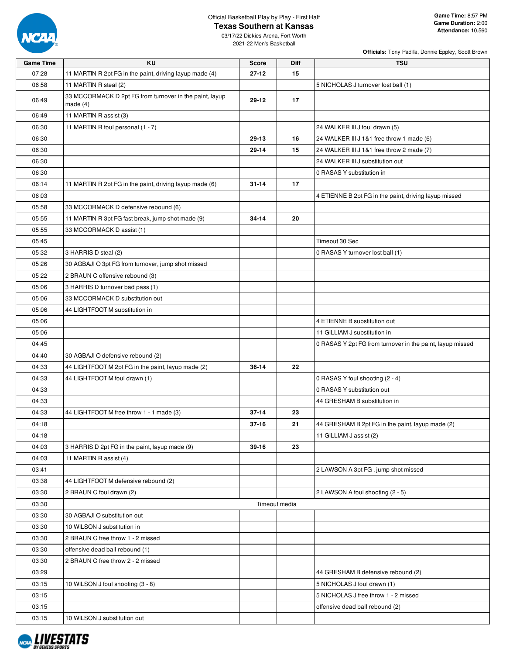

#### **Texas Southern at Kansas** 03/17/22 Dickies Arena, Fort Worth

2021-22 Men's Basketball

**Game Time:** 8:57 PM **Game Duration:** 2:00 **Attendance:** 10,560

| <b>Game Time</b> | <b>KU</b>                                                             | <b>Score</b>  | Diff | <b>TSU</b>                                                |
|------------------|-----------------------------------------------------------------------|---------------|------|-----------------------------------------------------------|
| 07:28            | 11 MARTIN R 2pt FG in the paint, driving layup made (4)               | $27 - 12$     | 15   |                                                           |
| 06:58            | 11 MARTIN R steal (2)                                                 |               |      | 5 NICHOLAS J turnover lost ball (1)                       |
| 06:49            | 33 MCCORMACK D 2pt FG from turnover in the paint, layup<br>made $(4)$ | 29-12         | 17   |                                                           |
| 06:49            | 11 MARTIN R assist (3)                                                |               |      |                                                           |
| 06:30            | 11 MARTIN R foul personal (1 - 7)                                     |               |      | 24 WALKER III J foul drawn (5)                            |
| 06:30            |                                                                       | 29-13         | 16   | 24 WALKER III J 1&1 free throw 1 made (6)                 |
| 06:30            |                                                                       | 29-14         | 15   | 24 WALKER III J 1&1 free throw 2 made (7)                 |
| 06:30            |                                                                       |               |      | 24 WALKER III J substitution out                          |
| 06:30            |                                                                       |               |      | 0 RASAS Y substitution in                                 |
| 06:14            | 11 MARTIN R 2pt FG in the paint, driving layup made (6)               | $31 - 14$     | 17   |                                                           |
| 06:03            |                                                                       |               |      | 4 ETIENNE B 2pt FG in the paint, driving layup missed     |
| 05:58            | 33 MCCORMACK D defensive rebound (6)                                  |               |      |                                                           |
| 05:55            | 11 MARTIN R 3pt FG fast break, jump shot made (9)                     | $34 - 14$     | 20   |                                                           |
| 05:55            | 33 MCCORMACK D assist (1)                                             |               |      |                                                           |
| 05:45            |                                                                       |               |      | Timeout 30 Sec                                            |
| 05:32            | 3 HARRIS D steal (2)                                                  |               |      | 0 RASAS Y turnover lost ball (1)                          |
| 05:26            | 30 AGBAJI O 3pt FG from turnover, jump shot missed                    |               |      |                                                           |
| 05:22            | 2 BRAUN C offensive rebound (3)                                       |               |      |                                                           |
| 05:06            | 3 HARRIS D turnover bad pass (1)                                      |               |      |                                                           |
| 05:06            | 33 MCCORMACK D substitution out                                       |               |      |                                                           |
| 05:06            | 44 LIGHTFOOT M substitution in                                        |               |      |                                                           |
| 05:06            |                                                                       |               |      | 4 ETIENNE B substitution out                              |
| 05:06            |                                                                       |               |      | 11 GILLIAM J substitution in                              |
| 04:45            |                                                                       |               |      | 0 RASAS Y 2pt FG from turnover in the paint, layup missed |
| 04:40            | 30 AGBAJI O defensive rebound (2)                                     |               |      |                                                           |
| 04:33            | 44 LIGHTFOOT M 2pt FG in the paint, layup made (2)                    | 36-14         | 22   |                                                           |
| 04:33            | 44 LIGHTFOOT M foul drawn (1)                                         |               |      | 0 RASAS Y foul shooting (2 - 4)                           |
| 04:33            |                                                                       |               |      | 0 RASAS Y substitution out                                |
| 04:33            |                                                                       |               |      | 44 GRESHAM B substitution in                              |
| 04:33            | 44 LIGHTFOOT M free throw 1 - 1 made (3)                              | $37 - 14$     | 23   |                                                           |
| 04:18            |                                                                       | $37 - 16$     | 21   | 44 GRESHAM B 2pt FG in the paint, layup made (2)          |
| 04:18            |                                                                       |               |      | 11 GILLIAM J assist (2)                                   |
| 04:03            | 3 HARRIS D 2pt FG in the paint, layup made (9)                        | 39-16         | 23   |                                                           |
| 04:03            | 11 MARTIN R assist (4)                                                |               |      |                                                           |
| 03:41            |                                                                       |               |      | 2 LAWSON A 3pt FG, jump shot missed                       |
| 03:38            | 44 LIGHTFOOT M defensive rebound (2)                                  |               |      |                                                           |
| 03:30            | 2 BRAUN C foul drawn (2)                                              |               |      | 2 LAWSON A foul shooting (2 - 5)                          |
| 03:30            |                                                                       | Timeout media |      |                                                           |
| 03:30            | 30 AGBAJI O substitution out                                          |               |      |                                                           |
| 03:30            | 10 WILSON J substitution in                                           |               |      |                                                           |
| 03:30            | 2 BRAUN C free throw 1 - 2 missed                                     |               |      |                                                           |
| 03:30            | offensive dead ball rebound (1)                                       |               |      |                                                           |
| 03:30            | 2 BRAUN C free throw 2 - 2 missed                                     |               |      |                                                           |
| 03:29            |                                                                       |               |      | 44 GRESHAM B defensive rebound (2)                        |
| 03:15            | 10 WILSON J foul shooting (3 - 8)                                     |               |      | 5 NICHOLAS J foul drawn (1)                               |
| 03:15            |                                                                       |               |      | 5 NICHOLAS J free throw 1 - 2 missed                      |
| 03:15            |                                                                       |               |      | offensive dead ball rebound (2)                           |
| 03:15            | 10 WILSON J substitution out                                          |               |      |                                                           |
|                  |                                                                       |               |      |                                                           |

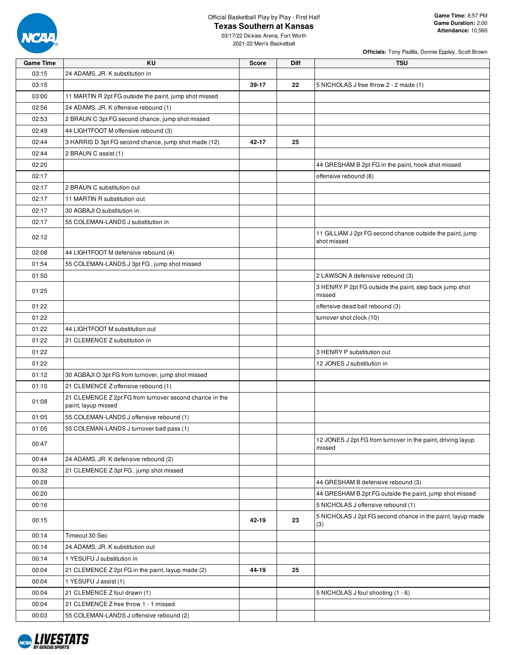

## **Texas Southern at Kansas**

**Game Time:** 8:57 PM **Game Duration:** 2:00 **Attendance:** 10,560

03/17/22 Dickies Arena, Fort Worth 2021-22 Men's Basketball

| <b>Game Time</b> | <b>KU</b>                                                                      | <b>Score</b> | <b>Diff</b> | <b>TSU</b>                                                               |
|------------------|--------------------------------------------------------------------------------|--------------|-------------|--------------------------------------------------------------------------|
| 03:15            | 24 ADAMS, JR. K substitution in                                                |              |             |                                                                          |
| 03:15            |                                                                                | 39-17        | 22          | 5 NICHOLAS J free throw 2 - 2 made (1)                                   |
| 03:00            | 11 MARTIN R 2pt FG outside the paint, jump shot missed                         |              |             |                                                                          |
| 02:56            | 24 ADAMS, JR. K offensive rebound (1)                                          |              |             |                                                                          |
| 02:53            | 2 BRAUN C 3pt FG second chance, jump shot missed                               |              |             |                                                                          |
| 02:49            | 44 LIGHTFOOT M offensive rebound (3)                                           |              |             |                                                                          |
| 02:44            | 3 HARRIS D 3pt FG second chance, jump shot made (12)                           | 42-17        | 25          |                                                                          |
| 02:44            | 2 BRAUN C assist (1)                                                           |              |             |                                                                          |
| 02:20            |                                                                                |              |             | 44 GRESHAM B 2pt FG in the paint, hook shot missed                       |
| 02:17            |                                                                                |              |             | offensive rebound (8)                                                    |
| 02:17            | 2 BRAUN C substitution out                                                     |              |             |                                                                          |
| 02:17            | 11 MARTIN R substitution out                                                   |              |             |                                                                          |
| 02:17            | 30 AGBAJI O substitution in                                                    |              |             |                                                                          |
| 02:17            | 55 COLEMAN-LANDS J substitution in                                             |              |             |                                                                          |
| 02:12            |                                                                                |              |             | 11 GILLIAM J 2pt FG second chance outside the paint, jump<br>shot missed |
| 02:08            | 44 LIGHTFOOT M defensive rebound (4)                                           |              |             |                                                                          |
| 01:54            | 55 COLEMAN-LANDS J 3pt FG, jump shot missed                                    |              |             |                                                                          |
| 01:50            |                                                                                |              |             | 2 LAWSON A defensive rebound (3)                                         |
| 01:25            |                                                                                |              |             | 3 HENRY P 2pt FG outside the paint, step back jump shot<br>missed        |
| 01:22            |                                                                                |              |             | offensive dead ball rebound (3)                                          |
| 01:22            |                                                                                |              |             | turnover shot clock (10)                                                 |
| 01:22            | 44 LIGHTFOOT M substitution out                                                |              |             |                                                                          |
| 01:22            | 21 CLEMENCE Z substitution in                                                  |              |             |                                                                          |
| 01:22            |                                                                                |              |             | 3 HENRY P substitution out                                               |
| 01:22            |                                                                                |              |             | 12 JONES J substitution in                                               |
| 01:12            | 30 AGBAJI O 3pt FG from turnover, jump shot missed                             |              |             |                                                                          |
| 01:10            | 21 CLEMENCE Z offensive rebound (1)                                            |              |             |                                                                          |
| 01:08            | 21 CLEMENCE Z 2pt FG from turnover second chance in the<br>paint, layup missed |              |             |                                                                          |
| 01:05            | 55 COLEMAN-LANDS J offensive rebound (1)                                       |              |             |                                                                          |
| 01:05            | 55 COLEMAN-LANDS J turnover bad pass (1)                                       |              |             |                                                                          |
| 00:47            |                                                                                |              |             | 12 JONES J 2pt FG from turnover in the paint, driving layup<br>missed    |
| 00:44            | 24 ADAMS, JR. K defensive rebound (2)                                          |              |             |                                                                          |
| 00:32            | 21 CLEMENCE Z 3pt FG, jump shot missed                                         |              |             |                                                                          |
| 00:28            |                                                                                |              |             | 44 GRESHAM B defensive rebound (3)                                       |
| 00:20            |                                                                                |              |             | 44 GRESHAM B 2pt FG outside the paint, jump shot missed                  |
| 00:16            |                                                                                |              |             | 5 NICHOLAS J offensive rebound (1)                                       |
| 00:15            |                                                                                | 42-19        | 23          | 5 NICHOLAS J 2pt FG second chance in the paint, layup made<br>(3)        |
| 00:14            | Timeout 30 Sec                                                                 |              |             |                                                                          |
| 00:14            | 24 ADAMS, JR. K substitution out                                               |              |             |                                                                          |
| 00:14            | 1 YESUFU J substitution in                                                     |              |             |                                                                          |
| 00:04            | 21 CLEMENCE Z 2pt FG in the paint, layup made (2)                              | 44-19        | 25          |                                                                          |
| 00:04            | 1 YESUFU J assist (1)                                                          |              |             |                                                                          |
| 00:04            | 21 CLEMENCE Z foul drawn (1)                                                   |              |             | 5 NICHOLAS J foul shooting (1 - 6)                                       |
| 00:04            | 21 CLEMENCE Z free throw 1 - 1 missed                                          |              |             |                                                                          |
| 00:03            | 55 COLEMAN-LANDS J offensive rebound (2)                                       |              |             |                                                                          |

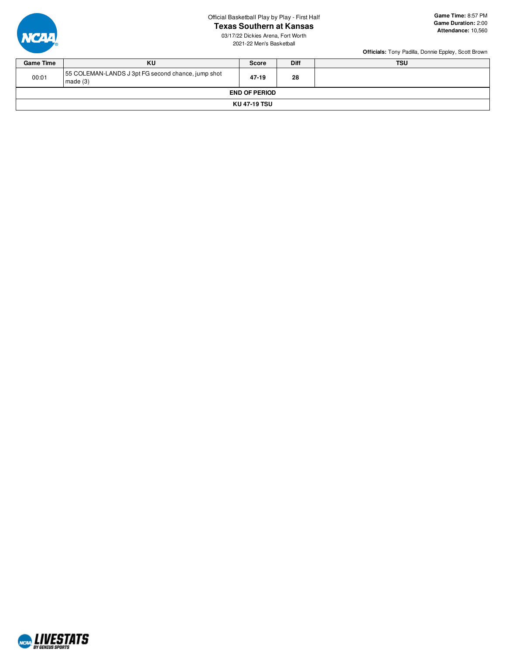# **Texas Southern at Kansas**

03/17/22 Dickies Arena, Fort Worth 2021-22 Men's Basketball



#### **Game Time:** 8:57 PM **Game Duration:** 2:00 **Attendance:** 10,560

| <b>Game Time</b> | KU                                                            | <b>Score</b>         | <b>Diff</b> | <b>TSU</b> |  |  |  |  |  |
|------------------|---------------------------------------------------------------|----------------------|-------------|------------|--|--|--|--|--|
| 00:01            | 55 COLEMAN-LANDS J 3pt FG second chance, jump shot<br>made(3) | $47 - 19$            | 28          |            |  |  |  |  |  |
|                  |                                                               | <b>END OF PERIOD</b> |             |            |  |  |  |  |  |
| KU 47-19 TSU     |                                                               |                      |             |            |  |  |  |  |  |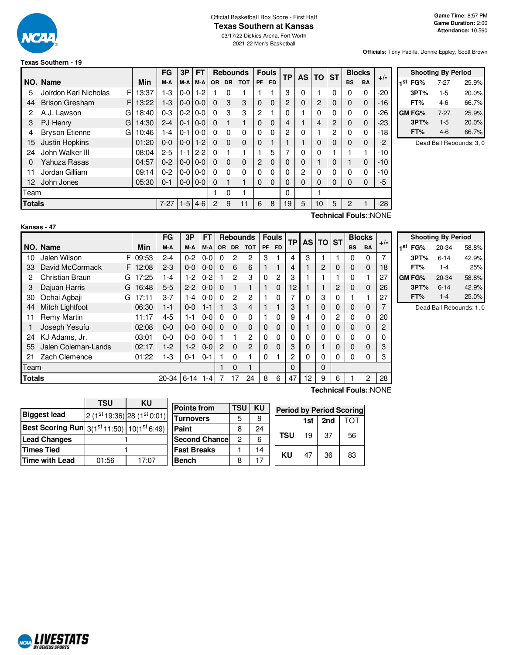

#### Official Basketball Box Score - First Half **Texas Southern at Kansas**

03/17/22 Dickies Arena, Fort Worth 2021-22 Men's Basketball

**Officials:** Tony Padilla, Donnie Eppley, Scott Brown

# **Texas Southern - 19**

|               |                             |       | FG       | 3Р            | FT      |           |           | <b>Rebounds</b> |              | <b>Fouls</b> |          |   |    | <b>TP</b><br><b>AS</b> | ΤO        | <b>ST</b>            |       | <b>Blocks</b> |  |
|---------------|-----------------------------|-------|----------|---------------|---------|-----------|-----------|-----------------|--------------|--------------|----------|---|----|------------------------|-----------|----------------------|-------|---------------|--|
|               | NO. Name                    | Min   | M-A      | M-A           | M-A     | <b>OR</b> | <b>DR</b> | <b>TOT</b>      | PF           | <b>FD</b>    |          |   |    |                        | <b>BS</b> | <b>BA</b>            | $+/-$ |               |  |
| 5             | F<br>Joirdon Karl Nicholas  | 13:37 | $1-3$    | $0 - 0$       | $1 - 2$ |           | 0         |                 |              |              | 3        | 0 |    | 0                      | 0         | 0                    | $-20$ |               |  |
| 44            | <b>Brison Gresham</b><br>F. | 13:22 | $1 - 3$  | $0 - 0$       | $0 - 0$ | $\Omega$  | 3         | 3               | 0            | $\Omega$     | 2        | 0 | 2  | 0                      | 0         | $\mathbf 0$          | $-16$ |               |  |
| 2             | A.J. Lawson<br>G            | 18:40 | $0 - 3$  | $0 - 2$       | $0 - 0$ | $\Omega$  | 3         | 3               | $\mathbf{2}$ |              | 0        |   | 0  | 0                      | 0         | 0                    | $-26$ |               |  |
| 3             | <b>PJ Henry</b><br>G        | 14:30 | $2 - 4$  | $0 - 1$       | $0 - 0$ | $\Omega$  |           | 1               | 0            | $\Omega$     | 4        |   | 4  | $\overline{2}$         | 0         | $\mathbf 0$          | $-23$ |               |  |
| 4             | <b>Bryson Etienne</b><br>G  | 10:46 | 1-4      | $0 - 1$       | $0 - 0$ | $\Omega$  | 0         | $\Omega$        | 0            | 0            | 2        | 0 |    | 2                      | 0         | 0                    | -18   |               |  |
| 15            | Justin Hopkins              | 01:20 | $0 - 0$  | $0 - 0$       | $1 - 2$ | $\Omega$  | $\Omega$  | $\mathbf 0$     | 0            |              |          |   | 0  | 0                      | 0         | $\mathbf 0$          | $-2$  |               |  |
| 24            | John Walker III             | 08:04 | $2 - 5$  | $1 - 1$       | $2 - 2$ | $\Omega$  |           | 1               |              | 5            |          | 0 | 0  |                        |           | 1                    | $-10$ |               |  |
| 0             | Yahuza Rasas                | 04:57 | $0 - 2$  | $0 - 0 0 - 0$ |         | $\Omega$  | $\Omega$  | $\mathbf 0$     | 2            | $\Omega$     | 0        | 0 |    | 0                      |           | $\mathbf 0$          | $-10$ |               |  |
| 11            | Jordan Gilliam              | 09:14 | $0 - 2$  | $0-0$         | $0-0$   | $\Omega$  | 0         | $\Omega$        | 0            | 0            | 0        | 2 | 0  | 0                      | 0         | $\Omega$             | $-10$ |               |  |
| 12            | John Jones                  | 05:30 | $0 - 1$  | $0-0$         | $0 - 0$ | $\Omega$  |           | 1               | $\Omega$     | 0            | 0        | 0 | 0  | 0                      | 0         | $\Omega$             | -5    |               |  |
| Team          |                             |       |          |               |         |           | 0         |                 |              |              | $\Omega$ |   |    |                        |           |                      |       |               |  |
| <b>Totals</b> |                             |       | $7 - 27$ | $1-5$         | $4-6$   | 2         | 9         | 11              | 6            | 8            | 19       | 5 | 10 | 5                      | 2         |                      | -28   |               |  |
|               |                             |       |          |               |         |           |           |                 |              |              |          |   |    |                        |           | Toobnical FoulouNONE |       |               |  |

| <b>Shooting By Period</b> |       |       |  |  |  |  |  |  |  |
|---------------------------|-------|-------|--|--|--|--|--|--|--|
| 1st FG%                   | 7-27  | 25.9% |  |  |  |  |  |  |  |
| 3PT%                      | $1-5$ | 20.0% |  |  |  |  |  |  |  |
| FT%                       | 4-6   | 66.7% |  |  |  |  |  |  |  |
| <b>GM FG%</b>             | 7-27  | 25.9% |  |  |  |  |  |  |  |
| 3PT%                      | $1-5$ | 20.0% |  |  |  |  |  |  |  |
| FT%                       | 4-6   | 66.7% |  |  |  |  |  |  |  |

Dead Ball Rebounds: 3, 0

| Kansas |  |
|--------|--|
|--------|--|

**Technical Fouls:**:NONE

|               |                     |   |       | FG        | 3Р         | FT      |           |                | <b>Rebounds</b> |          | <b>Fouls</b> | <b>TP</b>    |          | <b>AS TO</b> | <b>ST</b>      |             | <b>Blocks</b> | $+/-$ |
|---------------|---------------------|---|-------|-----------|------------|---------|-----------|----------------|-----------------|----------|--------------|--------------|----------|--------------|----------------|-------------|---------------|-------|
|               | NO. Name            |   | Min   | M-A       | M-A        | M-A     | <b>OR</b> | <b>DR</b>      | <b>TOT</b>      | PF       | <b>FD</b>    |              |          |              |                | <b>BS</b>   | <b>BA</b>     |       |
| 10            | Jalen Wilson        | F | 09:53 | $2 - 4$   | $0 - 2$    | $0-0$   | 0         | 2              | 2               | 3        |              | 4            | 3        |              |                | 0           | $\Omega$      | 7     |
| 33            | David McCormack     | F | 12:08 | $2 - 3$   | $0 - 0$    | $0 - 0$ | $\Omega$  | 6              | 6               |          |              | 4            |          | 2            | 0              | $\mathbf 0$ | $\Omega$      | 18    |
| 2             | Christian Braun     | G | 17:25 | 1-4       | $1-2$      | $0 - 2$ |           | 2              | 3               | $\Omega$ | 2            | 3            |          |              |                | 0           |               | 27    |
| 3             | Dajuan Harris       | G | 16:48 | $5-5$     | $2 - 2$    | $0-0$   | $\Omega$  |                |                 |          | $\Omega$     | 12           |          |              | 2              | $\mathbf 0$ | $\Omega$      | 26    |
| 30            | Ochai Agbaji        | G | 17:11 | $3 - 7$   | 1-4        | $0-0$   | $\Omega$  | $\overline{c}$ | $\overline{c}$  |          | 0            | 7            | 0        | 3            | $\Omega$       |             |               | 27    |
| 44            | Mitch Lightfoot     |   | 06:30 | $1 - 1$   | $0 - 0$    | $1 - 1$ |           | 3              | 4               |          |              | 3            |          | 0            | $\mathbf 0$    | $\mathbf 0$ | $\Omega$      | 7     |
| 11            | Remy Martin         |   | 11:17 | $4 - 5$   | 1-1        | $0 - 0$ | $\Omega$  | $\Omega$       | $\Omega$        |          | 0            | 9            | 4        | 0            | $\overline{2}$ | 0           | $\Omega$      | 20    |
|               | Joseph Yesufu       |   | 02:08 | $0 - 0$   | $0 - 0$    | $0 - 0$ | $\Omega$  | $\Omega$       | $\Omega$        | $\Omega$ | $\Omega$     | $\Omega$     |          | 0            | $\Omega$       | $\mathbf 0$ | $\Omega$      | 2     |
| 24            | KJ Adams, Jr.       |   | 03:01 | $0 - 0$   | $0 - 0$    | $0 - 0$ |           | 1              | $\overline{c}$  | 0        | 0            | $\Omega$     | $\Omega$ | 0            | $\Omega$       | 0           | $\Omega$      | 0     |
| 55            | Jalen Coleman-Lands |   | 02:17 | $1-2$     | $1 - 2$    | $0-0$   | 2         | $\Omega$       | $\overline{2}$  | $\Omega$ | $\Omega$     | 3            | 0        |              | $\Omega$       | $\mathbf 0$ | $\Omega$      | 3     |
| 21            | Zach Clemence       |   | 01:22 | 1-3       | $0 - 1$    | $0 - 1$ |           | 0              |                 | 0        |              | $\mathbf{2}$ | $\Omega$ | 0            | 0              | 0           | $\Omega$      | 3     |
| Team          |                     |   |       |           |            |         |           | $\Omega$       |                 |          |              | $\Omega$     |          | 0            |                |             |               |       |
| <b>Totals</b> |                     |   |       | $20 - 34$ | $6-14$ 1-4 |         | 7         | 17             | 24              | 8        | 6            | 47           | 12       | 9            | 6              |             | 2             | 28    |

| <b>Shooting By Period</b> |           |       |  |  |  |  |  |  |  |  |
|---------------------------|-----------|-------|--|--|--|--|--|--|--|--|
| 1st<br>FG%                | 20-34     | 58.8% |  |  |  |  |  |  |  |  |
| 3PT%                      | $6 - 14$  | 42.9% |  |  |  |  |  |  |  |  |
| FT%                       | $1 - 4$   | 25%   |  |  |  |  |  |  |  |  |
| GM FG%                    | $20 - 34$ | 58.8% |  |  |  |  |  |  |  |  |
| 3PT%                      | $6 - 14$  | 42.9% |  |  |  |  |  |  |  |  |
| FT%                       | $1 - 4$   | 25.0% |  |  |  |  |  |  |  |  |

Dead Ball Rebounds: 1, 0

|                                                                   | TSU                          | KU    |                       |                |           |                                 |    |    |     |  |  |
|-------------------------------------------------------------------|------------------------------|-------|-----------------------|----------------|-----------|---------------------------------|----|----|-----|--|--|
|                                                                   |                              |       | <b>Points from</b>    | <b>TSU</b>     | <b>KU</b> | <b>Period by Period Scoring</b> |    |    |     |  |  |
| <b>Biggest lead</b>                                               | $2(1st19:36)$ 28 $(1st0:01)$ |       | <b>Turnovers</b>      | 5              | 9         | 2nd<br>1st                      |    |    | TOT |  |  |
| <b>Best Scoring Run</b> $3(1^{st}11:50)$ 10(1 <sup>st</sup> 6:49) |                              |       | Paint                 | 8              | 24        |                                 |    |    |     |  |  |
| <b>Lead Changes</b>                                               |                              |       | <b>Second Chancel</b> | $\overline{2}$ | 6         | <b>TSU</b>                      | 19 | 37 | 56  |  |  |
| <b>Times Tied</b>                                                 |                              |       | <b>Fast Breaks</b>    |                | 14        |                                 |    |    |     |  |  |
| Time with Lead                                                    | 01:56                        | 17:07 | Bench                 | 8              | 17        | KU                              | 47 | 36 | 83  |  |  |
|                                                                   |                              |       |                       |                |           |                                 |    |    |     |  |  |

**Technical Fouls:**:NONE

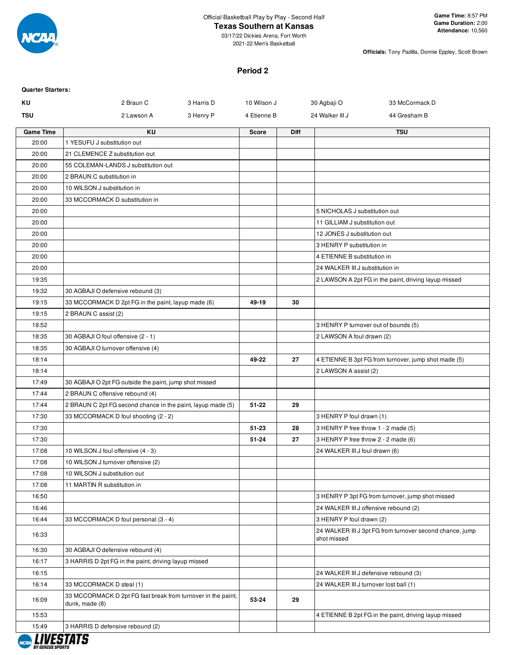

## **Texas Southern at Kansas**

03/17/22 Dickies Arena, Fort Worth 2021-22 Men's Basketball

**Officials:** Tony Padilla, Donnie Eppley, Scott Brown

### **Period 2**

| <b>Quarter Starters:</b> |                                                                                |            |              |             |                                        |                                                          |
|--------------------------|--------------------------------------------------------------------------------|------------|--------------|-------------|----------------------------------------|----------------------------------------------------------|
| KU                       | 2 Braun C                                                                      | 3 Harris D | 10 Wilson J  |             | 30 Agbaji O                            | 33 McCormack D                                           |
| <b>TSU</b>               | 2 Lawson A                                                                     | 3 Henry P  | 4 Etienne B  |             | 24 Walker III J                        | 44 Gresham B                                             |
| <b>Game Time</b>         | <b>KU</b>                                                                      |            | <b>Score</b> | <b>Diff</b> |                                        | <b>TSU</b>                                               |
| 20:00                    | 1 YESUFU J substitution out                                                    |            |              |             |                                        |                                                          |
| 20:00                    | 21 CLEMENCE Z substitution out                                                 |            |              |             |                                        |                                                          |
| 20:00                    | 55 COLEMAN-LANDS J substitution out                                            |            |              |             |                                        |                                                          |
| 20:00                    | 2 BRAUN C substitution in                                                      |            |              |             |                                        |                                                          |
| 20:00                    | 10 WILSON J substitution in                                                    |            |              |             |                                        |                                                          |
| 20:00                    | 33 MCCORMACK D substitution in                                                 |            |              |             |                                        |                                                          |
| 20:00                    |                                                                                |            |              |             | 5 NICHOLAS J substitution out          |                                                          |
| 20:00                    |                                                                                |            |              |             | 11 GILLIAM J substitution out          |                                                          |
| 20:00                    |                                                                                |            |              |             | 12 JONES J substitution out            |                                                          |
| 20:00                    |                                                                                |            |              |             | 3 HENRY P substitution in              |                                                          |
| 20:00                    |                                                                                |            |              |             | 4 ETIENNE B substitution in            |                                                          |
| 20:00                    |                                                                                |            |              |             | 24 WALKER III J substitution in        |                                                          |
| 19:35                    |                                                                                |            |              |             |                                        | 2 LAWSON A 2pt FG in the paint, driving layup missed     |
| 19:32                    | 30 AGBAJI O defensive rebound (3)                                              |            |              |             |                                        |                                                          |
| 19:15                    | 33 MCCORMACK D 2pt FG in the paint, layup made (6)                             |            | 49-19        | 30          |                                        |                                                          |
| 19:15                    | 2 BRAUN C assist (2)                                                           |            |              |             |                                        |                                                          |
| 18:52                    |                                                                                |            |              |             | 3 HENRY P turnover out of bounds (5)   |                                                          |
| 18:35                    | 30 AGBAJI O foul offensive (2 - 1)                                             |            |              |             | 2 LAWSON A foul drawn (2)              |                                                          |
| 18:35                    | 30 AGBAJI O turnover offensive (4)                                             |            |              |             |                                        |                                                          |
| 18:14                    |                                                                                |            | 49-22        | 27          |                                        | 4 ETIENNE B 3pt FG from turnover, jump shot made (5)     |
| 18:14                    |                                                                                |            |              |             | 2 LAWSON A assist (2)                  |                                                          |
| 17:49                    | 30 AGBAJI O 2pt FG outside the paint, jump shot missed                         |            |              |             |                                        |                                                          |
| 17:44                    | 2 BRAUN C offensive rebound (4)                                                |            |              |             |                                        |                                                          |
| 17:44                    | 2 BRAUN C 2pt FG second chance in the paint, layup made (5)                    |            | $51 - 22$    | 29          |                                        |                                                          |
| 17:30                    | 33 MCCORMACK D foul shooting (2 - 2)                                           |            |              |             | 3 HENRY P foul drawn (1)               |                                                          |
| 17:30                    |                                                                                |            | 51-23        | 28          | 3 HENRY P free throw 1 - 2 made (5)    |                                                          |
| 17:30                    |                                                                                |            | 51-24        | 27          | 3 HENRY P free throw 2 - 2 made (6)    |                                                          |
| 17:08                    | 10 WILSON J foul offensive (4 - 3)                                             |            |              |             | 24 WALKER III J foul drawn (6)         |                                                          |
| 17:08                    | 10 WILSON J turnover offensive (2)                                             |            |              |             |                                        |                                                          |
| 17:08                    | 10 WILSON J substitution out                                                   |            |              |             |                                        |                                                          |
| 17:08                    | 11 MARTIN R substitution in                                                    |            |              |             |                                        |                                                          |
| 16:50                    |                                                                                |            |              |             |                                        | 3 HENRY P 3pt FG from turnover, jump shot missed         |
| 16:46                    |                                                                                |            |              |             | 24 WALKER III J offensive rebound (2)  |                                                          |
| 16:44                    | 33 MCCORMACK D foul personal (3 - 4)                                           |            |              |             | 3 HENRY P foul drawn (2)               |                                                          |
| 16:33                    |                                                                                |            |              |             | shot missed                            | 24 WALKER III J 3pt FG from turnover second chance, jump |
| 16:30                    | 30 AGBAJI O defensive rebound (4)                                              |            |              |             |                                        |                                                          |
| 16:17                    | 3 HARRIS D 2pt FG in the paint, driving layup missed                           |            |              |             |                                        |                                                          |
| 16:15                    |                                                                                |            |              |             | 24 WALKER III J defensive rebound (3)  |                                                          |
| 16:14                    | 33 MCCORMACK D steal (1)                                                       |            |              |             | 24 WALKER III J turnover lost ball (1) |                                                          |
| 16:09                    | 33 MCCORMACK D 2pt FG fast break from turnover in the paint,<br>dunk, made (8) |            | 53-24        | 29          |                                        |                                                          |
| 15:53                    |                                                                                |            |              |             |                                        | 4 ETIENNE B 2pt FG in the paint, driving layup missed    |
| 15:49                    | 3 HARRIS D defensive rebound (2)                                               |            |              |             |                                        |                                                          |
|                          |                                                                                |            |              |             |                                        |                                                          |

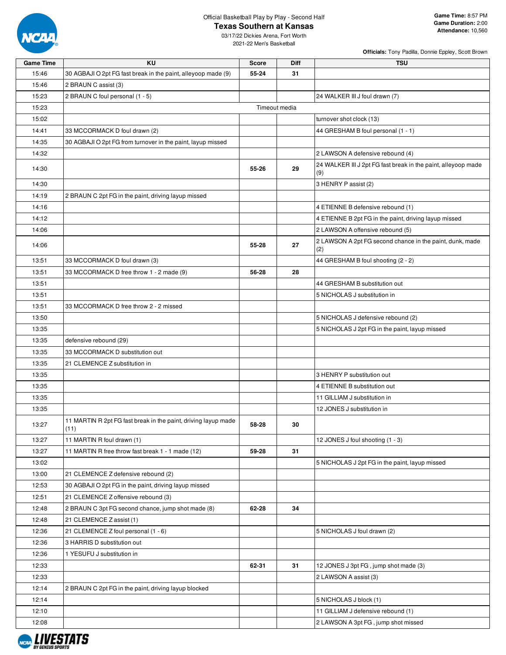

NCAA LIVESTATS

### Official Basketball Play by Play - Second Half

### **Texas Southern at Kansas**

03/17/22 Dickies Arena, Fort Worth 2021-22 Men's Basketball

| <b>Game Time</b> | KU                                                                     | <b>Score</b> | <b>Diff</b>   | <b>TSU</b>                                                           |
|------------------|------------------------------------------------------------------------|--------------|---------------|----------------------------------------------------------------------|
| 15:46            | 30 AGBAJI O 2pt FG fast break in the paint, alleyoop made (9)          | 55-24        | 31            |                                                                      |
| 15:46            | 2 BRAUN C assist (3)                                                   |              |               |                                                                      |
| 15:23            | 2 BRAUN C foul personal (1 - 5)                                        |              |               | 24 WALKER III J foul drawn (7)                                       |
| 15:23            |                                                                        |              | Timeout media |                                                                      |
| 15:02            |                                                                        |              |               | turnover shot clock (13)                                             |
| 14:41            | 33 MCCORMACK D foul drawn (2)                                          |              |               | 44 GRESHAM B foul personal (1 - 1)                                   |
| 14:35            | 30 AGBAJI O 2pt FG from turnover in the paint, layup missed            |              |               |                                                                      |
| 14:32            |                                                                        |              |               | 2 LAWSON A defensive rebound (4)                                     |
| 14:30            |                                                                        | 55-26        | 29            | 24 WALKER III J 2pt FG fast break in the paint, alleyoop made<br>(9) |
| 14:30            |                                                                        |              |               | 3 HENRY P assist (2)                                                 |
| 14:19            | 2 BRAUN C 2pt FG in the paint, driving layup missed                    |              |               |                                                                      |
| 14:16            |                                                                        |              |               | 4 ETIENNE B defensive rebound (1)                                    |
| 14:12            |                                                                        |              |               | 4 ETIENNE B 2pt FG in the paint, driving layup missed                |
| 14:06            |                                                                        |              |               | 2 LAWSON A offensive rebound (5)                                     |
| 14:06            |                                                                        | 55-28        | 27            | 2 LAWSON A 2pt FG second chance in the paint, dunk, made<br>(2)      |
| 13:51            | 33 MCCORMACK D foul drawn (3)                                          |              |               | 44 GRESHAM B foul shooting (2 - 2)                                   |
| 13:51            | 33 MCCORMACK D free throw 1 - 2 made (9)                               | 56-28        | 28            |                                                                      |
| 13:51            |                                                                        |              |               | 44 GRESHAM B substitution out                                        |
| 13:51            |                                                                        |              |               | 5 NICHOLAS J substitution in                                         |
| 13:51            | 33 MCCORMACK D free throw 2 - 2 missed                                 |              |               |                                                                      |
| 13:50            |                                                                        |              |               | 5 NICHOLAS J defensive rebound (2)                                   |
| 13:35            |                                                                        |              |               | 5 NICHOLAS J 2pt FG in the paint, layup missed                       |
| 13:35            | defensive rebound (29)                                                 |              |               |                                                                      |
| 13:35            | 33 MCCORMACK D substitution out                                        |              |               |                                                                      |
| 13:35            | 21 CLEMENCE Z substitution in                                          |              |               |                                                                      |
| 13:35            |                                                                        |              |               | 3 HENRY P substitution out                                           |
| 13:35            |                                                                        |              |               | 4 ETIENNE B substitution out                                         |
| 13:35            |                                                                        |              |               | 11 GILLIAM J substitution in                                         |
| 13:35            |                                                                        |              |               | 12 JONES J substitution in                                           |
| 13:27            | 11 MARTIN R 2pt FG fast break in the paint, driving layup made<br>(11) | 58-28        | 30            |                                                                      |
| 13:27            | 11 MARTIN R foul drawn (1)                                             |              |               | 12 JONES J foul shooting (1 - 3)                                     |
| 13:27            | 11 MARTIN R free throw fast break 1 - 1 made (12)                      | 59-28        | 31            |                                                                      |
| 13:02            |                                                                        |              |               | 5 NICHOLAS J 2pt FG in the paint, layup missed                       |
| 13:00            | 21 CLEMENCE Z defensive rebound (2)                                    |              |               |                                                                      |
| 12:53            | 30 AGBAJI O 2pt FG in the paint, driving layup missed                  |              |               |                                                                      |
| 12:51            | 21 CLEMENCE Z offensive rebound (3)                                    |              |               |                                                                      |
| 12:48            | 2 BRAUN C 3pt FG second chance, jump shot made (8)                     | 62-28        | 34            |                                                                      |
| 12:48            | 21 CLEMENCE Z assist (1)                                               |              |               |                                                                      |
| 12:36            | 21 CLEMENCE Z foul personal (1 - 6)                                    |              |               | 5 NICHOLAS J foul drawn (2)                                          |
| 12:36            | 3 HARRIS D substitution out                                            |              |               |                                                                      |
| 12:36            | 1 YESUFU J substitution in                                             |              |               |                                                                      |
| 12:33            |                                                                        | 62-31        | 31            | 12 JONES J 3pt FG, jump shot made (3)                                |
| 12:33            |                                                                        |              |               | 2 LAWSON A assist (3)                                                |
| 12:14            | 2 BRAUN C 2pt FG in the paint, driving layup blocked                   |              |               |                                                                      |
| 12:14            |                                                                        |              |               | 5 NICHOLAS J block (1)                                               |
| 12:10            |                                                                        |              |               | 11 GILLIAM J defensive rebound (1)                                   |
| 12:08            |                                                                        |              |               | 2 LAWSON A 3pt FG, jump shot missed                                  |
|                  |                                                                        |              |               |                                                                      |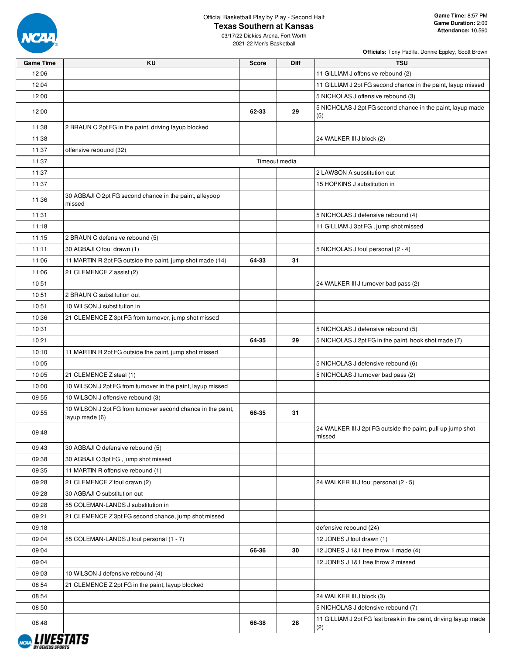

### **Texas Southern at Kansas**

| <b>Game Time</b> | KU                                                                             | <b>Score</b> | Diff          | <b>TSU</b>                                                             |
|------------------|--------------------------------------------------------------------------------|--------------|---------------|------------------------------------------------------------------------|
| 12:06            |                                                                                |              |               | 11 GILLIAM J offensive rebound (2)                                     |
| 12:04            |                                                                                |              |               | 11 GILLIAM J 2pt FG second chance in the paint, layup missed           |
| 12:00            |                                                                                |              |               | 5 NICHOLAS J offensive rebound (3)                                     |
| 12:00            |                                                                                | 62-33        | 29            | 5 NICHOLAS J 2pt FG second chance in the paint, layup made<br>(5)      |
| 11:38            | 2 BRAUN C 2pt FG in the paint, driving layup blocked                           |              |               |                                                                        |
| 11:38            |                                                                                |              |               | 24 WALKER III J block (2)                                              |
| 11:37            | offensive rebound (32)                                                         |              |               |                                                                        |
| 11:37            |                                                                                |              | Timeout media |                                                                        |
| 11:37            |                                                                                |              |               | 2 LAWSON A substitution out                                            |
| 11:37            |                                                                                |              |               | 15 HOPKINS J substitution in                                           |
| 11:36            | 30 AGBAJI O 2pt FG second chance in the paint, alleyoop<br>missed              |              |               |                                                                        |
| 11:31            |                                                                                |              |               | 5 NICHOLAS J defensive rebound (4)                                     |
| 11:18            |                                                                                |              |               | 11 GILLIAM J 3pt FG, jump shot missed                                  |
| 11:15            | 2 BRAUN C defensive rebound (5)                                                |              |               |                                                                        |
| 11:11            | 30 AGBAJI O foul drawn (1)                                                     |              |               | 5 NICHOLAS J foul personal (2 - 4)                                     |
| 11:06            | 11 MARTIN R 2pt FG outside the paint, jump shot made (14)                      | 64-33        | 31            |                                                                        |
| 11:06            | 21 CLEMENCE Z assist (2)                                                       |              |               |                                                                        |
| 10:51            |                                                                                |              |               | 24 WALKER III J turnover bad pass (2)                                  |
| 10:51            | 2 BRAUN C substitution out                                                     |              |               |                                                                        |
| 10:51            | 10 WILSON J substitution in                                                    |              |               |                                                                        |
| 10:36            | 21 CLEMENCE Z 3pt FG from turnover, jump shot missed                           |              |               |                                                                        |
| 10:31            |                                                                                |              |               | 5 NICHOLAS J defensive rebound (5)                                     |
| 10:21            |                                                                                | 64-35        | 29            | 5 NICHOLAS J 2pt FG in the paint, hook shot made (7)                   |
| 10:10            | 11 MARTIN R 2pt FG outside the paint, jump shot missed                         |              |               |                                                                        |
| 10:05            |                                                                                |              |               | 5 NICHOLAS J defensive rebound (6)                                     |
| 10:05            | 21 CLEMENCE Z steal (1)                                                        |              |               | 5 NICHOLAS J turnover bad pass (2)                                     |
| 10:00            | 10 WILSON J 2pt FG from turnover in the paint, layup missed                    |              |               |                                                                        |
| 09:55            | 10 WILSON J offensive rebound (3)                                              |              |               |                                                                        |
| 09:55            | 10 WILSON J 2pt FG from turnover second chance in the paint,<br>layup made (6) | 66-35        | 31            |                                                                        |
| 09:48            |                                                                                |              |               | 24 WALKER III J 2pt FG outside the paint, pull up jump shot<br>missed  |
| 09:43            | 30 AGBAJI O defensive rebound (5)                                              |              |               |                                                                        |
| 09:38            | 30 AGBAJI O 3pt FG, jump shot missed                                           |              |               |                                                                        |
| 09:35            | 11 MARTIN R offensive rebound (1)                                              |              |               |                                                                        |
| 09:28            | 21 CLEMENCE Z foul drawn (2)                                                   |              |               | 24 WALKER III J foul personal (2 - 5)                                  |
| 09:28            | 30 AGBAJI O substitution out                                                   |              |               |                                                                        |
| 09:28            | 55 COLEMAN-LANDS J substitution in                                             |              |               |                                                                        |
| 09:21            | 21 CLEMENCE Z 3pt FG second chance, jump shot missed                           |              |               |                                                                        |
| 09:18            |                                                                                |              |               | defensive rebound (24)                                                 |
| 09:04            | 55 COLEMAN-LANDS J foul personal (1 - 7)                                       |              |               | 12 JONES J foul drawn (1)                                              |
| 09:04            |                                                                                | 66-36        | 30            | 12 JONES J 1&1 free throw 1 made (4)                                   |
| 09:04            |                                                                                |              |               | 12 JONES J 1&1 free throw 2 missed                                     |
| 09:03            | 10 WILSON J defensive rebound (4)                                              |              |               |                                                                        |
| 08:54            | 21 CLEMENCE Z 2pt FG in the paint, layup blocked                               |              |               |                                                                        |
| 08:54            |                                                                                |              |               | 24 WALKER III J block (3)                                              |
| 08:50            |                                                                                |              |               | 5 NICHOLAS J defensive rebound (7)                                     |
| 08:48            |                                                                                | 66-38        | 28            | 11 GILLIAM J 2pt FG fast break in the paint, driving layup made<br>(2) |
|                  |                                                                                |              |               |                                                                        |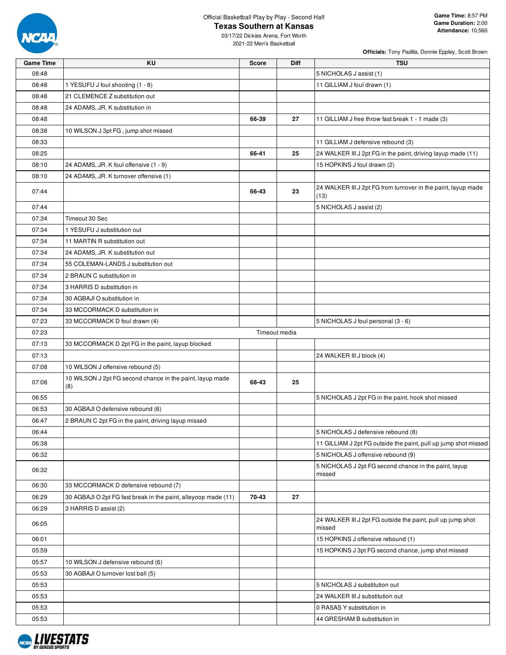

### **Texas Southern at Kansas**

03/17/22 Dickies Arena, Fort Worth 2021-22 Men's Basketball

| <b>Officials:</b> Tony Padilla, Donnie Eppley, Scott Brown |  |  |  |
|------------------------------------------------------------|--|--|--|
|                                                            |  |  |  |

| <b>Game Time</b> | KU                                                             | <b>Score</b> | <b>Diff</b>   | <b>TSU</b>                                                            |
|------------------|----------------------------------------------------------------|--------------|---------------|-----------------------------------------------------------------------|
| 08:48            |                                                                |              |               | 5 NICHOLAS J assist (1)                                               |
| 08:48            | 1 YESUFU J foul shooting (1 - 8)                               |              |               | 11 GILLIAM J foul drawn (1)                                           |
| 08:48            | 21 CLEMENCE Z substitution out                                 |              |               |                                                                       |
| 08:48            | 24 ADAMS, JR. K substitution in                                |              |               |                                                                       |
| 08:48            |                                                                | 66-39        | 27            | 11 GILLIAM J free throw fast break 1 - 1 made (3)                     |
| 08:38            | 10 WILSON J 3pt FG, jump shot missed                           |              |               |                                                                       |
| 08:33            |                                                                |              |               | 11 GILLIAM J defensive rebound (3)                                    |
| 08:25            |                                                                | 66-41        | 25            | 24 WALKER III J 2pt FG in the paint, driving layup made (11)          |
| 08:10            | 24 ADAMS, JR. K foul offensive (1 - 9)                         |              |               | 15 HOPKINS J foul drawn (2)                                           |
| 08:10            | 24 ADAMS, JR. K turnover offensive (1)                         |              |               |                                                                       |
| 07:44            |                                                                | 66-43        | 23            | 24 WALKER III J 2pt FG from turnover in the paint, layup made<br>(13) |
| 07:44            |                                                                |              |               | 5 NICHOLAS J assist (2)                                               |
| 07:34            | Timeout 30 Sec                                                 |              |               |                                                                       |
| 07:34            | 1 YESUFU J substitution out                                    |              |               |                                                                       |
| 07:34            | 11 MARTIN R substitution out                                   |              |               |                                                                       |
| 07:34            | 24 ADAMS, JR. K substitution out                               |              |               |                                                                       |
| 07:34            | 55 COLEMAN-LANDS J substitution out                            |              |               |                                                                       |
| 07:34            | 2 BRAUN C substitution in                                      |              |               |                                                                       |
| 07:34            | 3 HARRIS D substitution in                                     |              |               |                                                                       |
| 07:34            | 30 AGBAJI O substitution in                                    |              |               |                                                                       |
| 07:34            | 33 MCCORMACK D substitution in                                 |              |               |                                                                       |
| 07:23            | 33 MCCORMACK D foul drawn (4)                                  |              |               | 5 NICHOLAS J foul personal (3 - 6)                                    |
| 07:23            |                                                                |              | Timeout media |                                                                       |
| 07:13            | 33 MCCORMACK D 2pt FG in the paint, layup blocked              |              |               |                                                                       |
| 07:13            |                                                                |              |               | 24 WALKER III J block (4)                                             |
| 07:08            | 10 WILSON J offensive rebound (5)                              |              |               |                                                                       |
|                  | 10 WILSON J 2pt FG second chance in the paint, layup made      |              |               |                                                                       |
| 07:08            | (8)                                                            | 68-43        | 25            |                                                                       |
| 06:55            |                                                                |              |               | 5 NICHOLAS J 2pt FG in the paint, hook shot missed                    |
| 06:53            | 30 AGBAJI O defensive rebound (6)                              |              |               |                                                                       |
| 06:47            | 2 BRAUN C 2pt FG in the paint, driving layup missed            |              |               |                                                                       |
| 06:44            |                                                                |              |               | 5 NICHOLAS J defensive rebound (8)                                    |
| 06:38            |                                                                |              |               | 11 GILLIAM J 2pt FG outside the paint, pull up jump shot missed       |
| 06:32            |                                                                |              |               | 5 NICHOLAS J offensive rebound (9)                                    |
| 06:32            |                                                                |              |               | 5 NICHOLAS J 2pt FG second chance in the paint, layup<br>missed       |
| 06:30            | 33 MCCORMACK D defensive rebound (7)                           |              |               |                                                                       |
| 06:29            | 30 AGBAJI O 2pt FG fast break in the paint, alleyoop made (11) | 70-43        | 27            |                                                                       |
| 06:29            | 3 HARRIS D assist (2)                                          |              |               |                                                                       |
| 06:05            |                                                                |              |               | 24 WALKER III J 2pt FG outside the paint, pull up jump shot<br>missed |
| 06:01            |                                                                |              |               | 15 HOPKINS J offensive rebound (1)                                    |
| 05:59            |                                                                |              |               | 15 HOPKINS J 3pt FG second chance, jump shot missed                   |
| 05:57            | 10 WILSON J defensive rebound (6)                              |              |               |                                                                       |
| 05:53            | 30 AGBAJI O turnover lost ball (5)                             |              |               |                                                                       |
| 05:53            |                                                                |              |               | 5 NICHOLAS J substitution out                                         |
| 05:53            |                                                                |              |               | 24 WALKER III J substitution out                                      |
| 05:53            |                                                                |              |               | 0 RASAS Y substitution in                                             |
| 05:53            |                                                                |              |               | 44 GRESHAM B substitution in                                          |

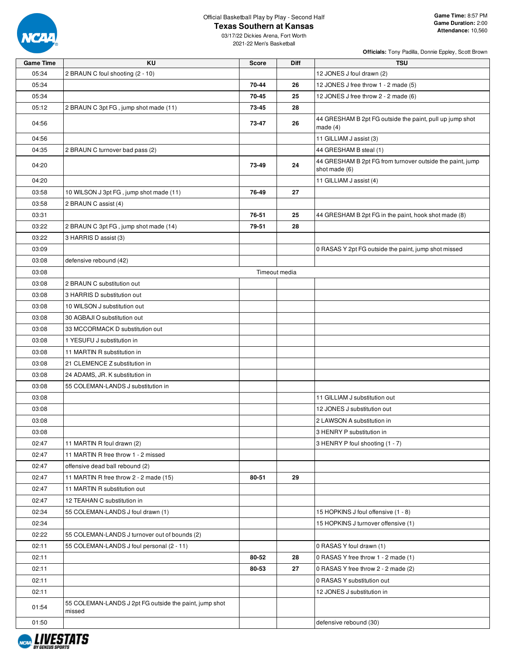

### **Texas Southern at Kansas**

03/17/22 Dickies Arena, Fort Worth 2021-22 Men's Basketball

| <b>Officials:</b> Tony Padilla, Donnie Eppley, Scott Brown |  |  |  |
|------------------------------------------------------------|--|--|--|
|                                                            |  |  |  |

| <b>Game Time</b> | ΚU                                                               | Score         | Diff | <b>TSU</b>                                                                 |
|------------------|------------------------------------------------------------------|---------------|------|----------------------------------------------------------------------------|
| 05:34            | 2 BRAUN C foul shooting (2 - 10)                                 |               |      | 12 JONES J foul drawn (2)                                                  |
| 05:34            |                                                                  | 70-44         | 26   | 12 JONES J free throw 1 - 2 made (5)                                       |
| 05:34            |                                                                  | 70-45         | 25   | 12 JONES J free throw 2 - 2 made (6)                                       |
| 05:12            | 2 BRAUN C 3pt FG, jump shot made (11)                            | 73-45         | 28   |                                                                            |
| 04:56            |                                                                  | 73-47         | 26   | 44 GRESHAM B 2pt FG outside the paint, pull up jump shot<br>made $(4)$     |
| 04:56            |                                                                  |               |      | 11 GILLIAM J assist (3)                                                    |
| 04:35            | 2 BRAUN C turnover bad pass (2)                                  |               |      | 44 GRESHAM B steal (1)                                                     |
| 04:20            |                                                                  | 73-49         | 24   | 44 GRESHAM B 2pt FG from turnover outside the paint, jump<br>shot made (6) |
| 04:20            |                                                                  |               |      | 11 GILLIAM J assist (4)                                                    |
| 03:58            | 10 WILSON J 3pt FG, jump shot made (11)                          | 76-49         | 27   |                                                                            |
| 03:58            | 2 BRAUN C assist (4)                                             |               |      |                                                                            |
| 03:31            |                                                                  | 76-51         | 25   | 44 GRESHAM B 2pt FG in the paint, hook shot made (8)                       |
| 03:22            | 2 BRAUN C 3pt FG, jump shot made (14)                            | 79-51         | 28   |                                                                            |
| 03:22            | 3 HARRIS D assist (3)                                            |               |      |                                                                            |
| 03:09            |                                                                  |               |      | 0 RASAS Y 2pt FG outside the paint, jump shot missed                       |
| 03:08            | defensive rebound (42)                                           |               |      |                                                                            |
| 03:08            |                                                                  | Timeout media |      |                                                                            |
| 03:08            | 2 BRAUN C substitution out                                       |               |      |                                                                            |
| 03:08            | 3 HARRIS D substitution out                                      |               |      |                                                                            |
| 03:08            | 10 WILSON J substitution out                                     |               |      |                                                                            |
| 03:08            | 30 AGBAJI O substitution out                                     |               |      |                                                                            |
| 03:08            | 33 MCCORMACK D substitution out                                  |               |      |                                                                            |
| 03:08            | 1 YESUFU J substitution in                                       |               |      |                                                                            |
| 03:08            | 11 MARTIN R substitution in                                      |               |      |                                                                            |
| 03:08            | 21 CLEMENCE Z substitution in                                    |               |      |                                                                            |
| 03:08            | 24 ADAMS, JR. K substitution in                                  |               |      |                                                                            |
| 03:08            | 55 COLEMAN-LANDS J substitution in                               |               |      |                                                                            |
| 03:08            |                                                                  |               |      | 11 GILLIAM J substitution out                                              |
| 03:08            |                                                                  |               |      | 12 JONES J substitution out                                                |
| 03:08            |                                                                  |               |      | 2 LAWSON A substitution in                                                 |
| 03:08            |                                                                  |               |      | 3 HENRY P substitution in                                                  |
| 02:47            | 11 MARTIN R foul drawn (2)                                       |               |      | 3 HENRY P foul shooting (1 - 7)                                            |
| 02:47            | 11 MARTIN R free throw 1 - 2 missed                              |               |      |                                                                            |
| 02:47            | offensive dead ball rebound (2)                                  |               |      |                                                                            |
| 02:47            | 11 MARTIN R free throw 2 - 2 made (15)                           | 80-51         | 29   |                                                                            |
| 02:47            | 11 MARTIN R substitution out                                     |               |      |                                                                            |
| 02:47            | 12 TEAHAN C substitution in                                      |               |      |                                                                            |
| 02:34            | 55 COLEMAN-LANDS J foul drawn (1)                                |               |      | 15 HOPKINS J foul offensive (1 - 8)                                        |
| 02:34            |                                                                  |               |      | 15 HOPKINS J turnover offensive (1)                                        |
| 02:22            | 55 COLEMAN-LANDS J turnover out of bounds (2)                    |               |      |                                                                            |
| 02:11            | 55 COLEMAN-LANDS J foul personal (2 - 11)                        |               |      | 0 RASAS Y foul drawn (1)                                                   |
| 02:11            |                                                                  | 80-52         | 28   | 0 RASAS Y free throw 1 - 2 made (1)                                        |
| 02:11            |                                                                  | 80-53         | 27   | 0 RASAS Y free throw 2 - 2 made (2)                                        |
| 02:11            |                                                                  |               |      | 0 RASAS Y substitution out                                                 |
| 02:11            |                                                                  |               |      | 12 JONES J substitution in                                                 |
| 01:54            | 55 COLEMAN-LANDS J 2pt FG outside the paint, jump shot<br>missed |               |      |                                                                            |
| 01:50            |                                                                  |               |      | defensive rebound (30)                                                     |

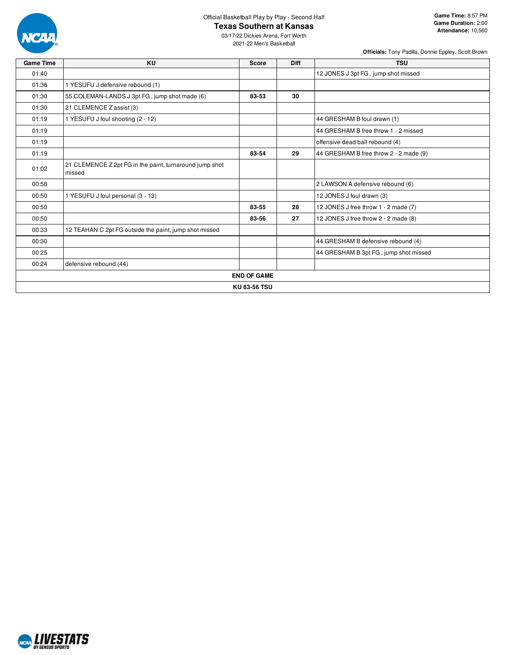

### **Texas Southern at Kansas**

03/17/22 Dickies Arena, Fort Worth 2021-22 Men's Basketball

| <b>Game Time</b> | <b>KU</b>                                                         | <b>Score</b>        | <b>Diff</b> | <b>TSU</b>                             |
|------------------|-------------------------------------------------------------------|---------------------|-------------|----------------------------------------|
| 01:40            |                                                                   |                     |             | 12 JONES J 3pt FG, jump shot missed    |
| 01:36            | 1 YESUFU J defensive rebound (1)                                  |                     |             |                                        |
| 01:30            | 55 COLEMAN-LANDS J 3pt FG, jump shot made (6)                     | 83-53               | 30          |                                        |
| 01:30            | 21 CLEMENCE Z assist (3)                                          |                     |             |                                        |
| 01:19            | 1 YESUFU J foul shooting (2 - 12)                                 |                     |             | 44 GRESHAM B foul drawn (1)            |
| 01:19            |                                                                   |                     |             | 44 GRESHAM B free throw 1 - 2 missed   |
| 01:19            |                                                                   |                     |             | offensive dead ball rebound (4)        |
| 01:19            |                                                                   | 83-54               | 29          | 44 GRESHAM B free throw 2 - 2 made (9) |
| 01:02            | 21 CLEMENCE Z 2pt FG in the paint, turnaround jump shot<br>missed |                     |             |                                        |
| 00:58            |                                                                   |                     |             | 2 LAWSON A defensive rebound (6)       |
| 00:50            | 1 YESUFU J foul personal (3 - 13)                                 |                     |             | 12 JONES J foul drawn (3)              |
| 00:50            |                                                                   | 83-55               | 28          | 12 JONES J free throw 1 - 2 made (7)   |
| 00:50            |                                                                   | 83-56               | 27          | 12 JONES J free throw 2 - 2 made (8)   |
| 00:33            | 12 TEAHAN C 2pt FG outside the paint, jump shot missed            |                     |             |                                        |
| 00:30            |                                                                   |                     |             | 44 GRESHAM B defensive rebound (4)     |
| 00:25            |                                                                   |                     |             | 44 GRESHAM B 3pt FG, jump shot missed  |
| 00:24            | defensive rebound (44)                                            |                     |             |                                        |
|                  |                                                                   | <b>END OF GAME</b>  |             |                                        |
|                  |                                                                   | <b>KU 83-56 TSU</b> |             |                                        |

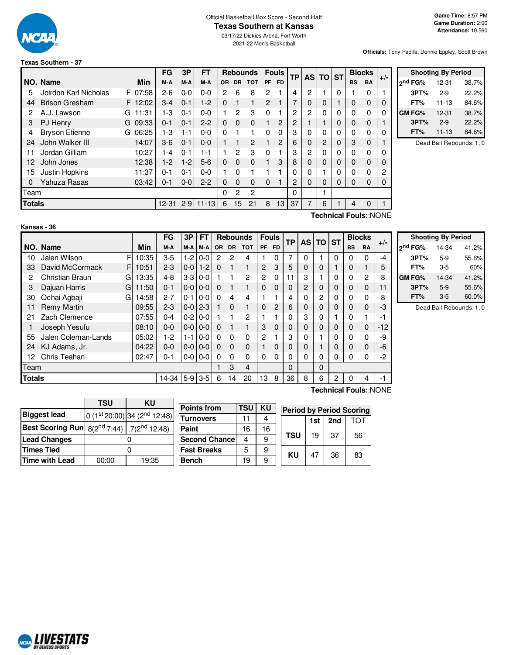

#### Official Basketball Box Score - Second Half **Texas Southern at Kansas**

03/17/22 Dickies Arena, Fort Worth 2021-22 Men's Basketball

**Officials:** Tony Padilla, Donnie Eppley, Scott Brown

#### **Texas Southern - 37**

|               |                            |            | FG      | 3P      | <b>FT</b> | <b>Rebounds</b> |           |             | <b>Fouls</b>   | <b>TP</b> | <b>AS</b> | <b>TO ST</b> |                |   | <b>Blocks</b> |              |          |
|---------------|----------------------------|------------|---------|---------|-----------|-----------------|-----------|-------------|----------------|-----------|-----------|--------------|----------------|---|---------------|--------------|----------|
|               | NO. Name                   | <b>Min</b> | M-A     | M-A     | M-A       | OR.             | <b>DR</b> | <b>TOT</b>  | <b>PF</b>      | <b>FD</b> |           |              |                |   | <b>BS</b>     | <b>BA</b>    | $+/-$    |
| 5             | F<br>Joirdon Karl Nicholas | 07:58      | $2-6$   | $0 - 0$ | $0 - 0$   | 2               | 6         | 8           | 2              |           | 4         | 2            |                | 0 |               | $\Omega$     |          |
| 44            | <b>Brison Gresham</b><br>F | 12:02      | $3 - 4$ | $0 - 1$ | $1-2$     | $\Omega$        |           | 1           | $\overline{2}$ |           | 7         | 0            | 0              |   | 0             | $\Omega$     | 0        |
| 2             | A.J. Lawson<br>G           | 11:31      | $1-3$   | $0 - 1$ | $0 - 0$   |                 | 2         | 3           | 0              |           | 2         | 2            | 0              | 0 | $\Omega$      | $\Omega$     | $\Omega$ |
| 3             | PJ Henry<br>G              | 09:33      | $0 - 1$ | $0 - 1$ | $2 - 2$   | $\Omega$        | $\Omega$  | $\mathbf 0$ |                | 2         | 2         |              |                | 0 | 0             | $\Omega$     |          |
| 4             | <b>Bryson Etienne</b><br>G | 06:25      | $1-3$   | $1 - 1$ | $0 - 0$   | $\Omega$        |           |             | 0              | $\Omega$  | 3         | 0            | 0              | 0 | $\Omega$      | $\mathbf{0}$ | $\Omega$ |
| 24            | John Walker III            | 14:07      | $3-6$   | $0 - 1$ | $0 - 0$   |                 |           | 2           |                | 2         | 6         | 0            | $\overline{c}$ | 0 | 3             | $\Omega$     |          |
| 11            | Jordan Gilliam             | 10:27      | 1-4     | $0 - 1$ | 1-1       |                 | 2         | 3           | 0              |           | 3         | 2            | 0              | 0 | $\Omega$      | $\Omega$     | $\Omega$ |
| 12            | John Jones                 | 12:38      | $1-2$   | $1 - 2$ | $5-6$     | $\Omega$        | $\Omega$  | $\Omega$    |                | 3         | 8         | 0            | 0              | 0 | $\Omega$      | $\Omega$     | $\Omega$ |
| 15            | Justin Hopkins             | 11:37      | $0 - 1$ | $0 - 1$ | $0 - 0$   |                 | O         |             |                |           | 0         | 0            |                | ი | 0             | 0            | 2        |
| 0             | Yahuza Rasas               | 03:42      | $0 - 1$ | $0-0$   | $2 - 2$   | $\Omega$        | $\Omega$  | $\Omega$    | 0              |           | 2         | 0            | 0              | 0 | $\Omega$      | $\Omega$     | 0        |
| Team          |                            |            |         |         |           | 0               | 2         | 2           |                |           | 0         |              |                |   |               |              |          |
| <b>Totals</b> |                            | $11 - 13$  | 6       | 15      | 21        | 8               | 13        | 37          | 7              | 6         |           | 4            | $\Omega$       |   |               |              |          |
|               |                            |            |         |         |           |                 |           |             |                |           |           |              |                |   |               |              |          |

|         | <b>Shooting By Period</b> |       |
|---------|---------------------------|-------|
| ond FG% | 12-31                     | 38.7% |
| 3PT%    | $2-9$                     | 22.2% |
| FT%     | $11 - 13$                 | 84.6% |
| GM FG%  | 12-31                     | 38.7% |
| 3PT%    | $2-9$                     | 22.2% |
| FT%     | $11 - 13$                 | 84.6% |

Dead Ball Rebounds: 1, 0

### **Kansas - 36**

**Technical Fouls:**:NONE

|               |                      |            | <b>FG</b> | 3P      | FT            |                | <b>Rebounds</b> |              | <b>Fouls</b>   |           | <b>TP</b> | <b>AS</b>      | <b>TO</b> | <b>ST</b> |           | <b>Blocks</b> | $+/-$ |
|---------------|----------------------|------------|-----------|---------|---------------|----------------|-----------------|--------------|----------------|-----------|-----------|----------------|-----------|-----------|-----------|---------------|-------|
|               | NO. Name             | Min        | M-A       | M-A     | $M-A$         | <b>OR</b>      | <b>DR</b>       | <b>TOT</b>   | <b>PF</b>      | <b>FD</b> |           |                |           |           | <b>BS</b> | <b>BA</b>     |       |
| 10            | Jalen Wilson         | F<br>10:35 | $3-5$     | $1-2$   | $0 - 0$       | $\overline{2}$ | 2               | 4            |                | $\Omega$  | 7         | 0              |           | 0         | 0         | $\Omega$      | -4    |
| 33            | David McCormack      | F<br>10:51 | $2 - 3$   | $0-0$   | $1-2$         | $\Omega$       |                 |              | $\overline{c}$ | 3         | 5         | $\Omega$       | 0         |           | 0         |               | 5     |
| 2             | Christian Braun<br>G | 13:35      | $4 - 8$   | $3-3$   | $0 - 0$       |                |                 | $\mathbf{2}$ | 2              | $\Omega$  | 11        | 3              |           | 0         | 0         | 2             | 8     |
| 3             | Dajuan Harris<br>G   | 11:50      | $0 - 1$   | $0-0$   | $0 - 0$       | $\Omega$       |                 | 1            | $\Omega$       | 0         | $\Omega$  | $\overline{2}$ | 0         | $\Omega$  | $\Omega$  | $\Omega$      | 11    |
| 30            | Ochai Agbaji<br>G    | 14:58      | $2 - 7$   | $0 - 1$ | $0 - 0$       | $\Omega$       | 4               | 4            |                |           | 4         | 0              | 2         |           | 0         | 0             | 8     |
| 11            | <b>Remy Martin</b>   | 09:55      | $2 - 3$   |         | $0 - 012 - 3$ |                | $\Omega$        | 1            | 0              | 2         | 6         | $\Omega$       | 0         |           | $\Omega$  | $\Omega$      | -3    |
| 21            | Zach Clemence        | 07:55      | $0 - 4$   | $0-2$   | $0 - 0$       |                |                 | 2            |                |           | $\Omega$  | 3              | 0         |           | $\Omega$  |               | $-1$  |
|               | Joseph Yesufu        | 08:10      | $0 - 0$   | $0-0$   | $0 - 0$       | $\Omega$       |                 |              | 3              | $\Omega$  | $\Omega$  | $\Omega$       | $\Omega$  | $\Omega$  | $\Omega$  | $\Omega$      | $-12$ |
| 55            | Jalen Coleman-Lands  | 05:02      | $1-2$     | $1 - 1$ | $0 - 0$       | 0              | $\Omega$        | 0            | 2              |           | 3         | 0              |           |           | $\Omega$  | $\Omega$      | -9    |
| 24            | KJ Adams, Jr.        | 04:22      | $0-0$     |         | $0 - 0 0 - 0$ | $\Omega$       | $\Omega$        | $\Omega$     |                | 0         | $\Omega$  | $\Omega$       |           |           | 0         | $\Omega$      | -6    |
| 12            | Chris Teahan         | 02:47      | $0 - 1$   | $0-0$   | $0 - 0$       | 0              | 0               | $\Omega$     | 0              | 0         | 0         | 0              | 0         |           | $\Omega$  | 0             | -2    |
| <b>Team</b>   |                      |            |           |         |               | 3              | 4               |              |                | $\Omega$  |           | $\Omega$       |           |           |           |               |       |
| <b>Totals</b> |                      | 14-34      | $5-9$     | $3-5$   | 6             | 14             | 20              | 13           | 8              | 36        | 8         | 6              | 2         | 0         | 4         | -1            |       |

|                     | <b>Shooting By Period</b> |       |
|---------------------|---------------------------|-------|
|                     |                           |       |
| 2 <sup>nd</sup> FG% | 14-34                     | 41.2% |
| 3PT%                | $5-9$                     | 55.6% |
| FT%                 | 3-5                       | 60%   |
| GM FG%              | 14-34                     | 41.2% |
| 3PT%                | $5-9$                     | 55.6% |
| FT%                 | $3 - 5$                   | 60.0% |

Dead Ball Rebounds: 1, 0

|                                                                   | <b>TSU</b> | KU                                       |  |  |  |  |  |
|-------------------------------------------------------------------|------------|------------------------------------------|--|--|--|--|--|
| <b>Biggest lead</b>                                               |            | 0 (1st 20:00) 34 (2 <sup>nd</sup> 12:48) |  |  |  |  |  |
| <b>Best Scoring Run</b> $8(2^{nd} 7:44)$ 7(2 <sup>nd</sup> 12:48) |            |                                          |  |  |  |  |  |
| <b>Lead Changes</b>                                               |            |                                          |  |  |  |  |  |
| <b>Times Tied</b>                                                 |            |                                          |  |  |  |  |  |
| Time with Lead                                                    | 00:00      | 19:35                                    |  |  |  |  |  |

| <b>Points from</b>    | TSU | KU | <b>Period by Period Scoring</b> |    |    |    |  |  |  |  |  |  |
|-----------------------|-----|----|---------------------------------|----|----|----|--|--|--|--|--|--|
| <b>Turnovers</b>      | 11  |    | 2nd<br>1st                      |    |    |    |  |  |  |  |  |  |
| Paint                 | 16  | 16 |                                 |    |    |    |  |  |  |  |  |  |
| <b>Second Chancel</b> |     | 9  | <b>TSU</b>                      | 19 | 37 | 56 |  |  |  |  |  |  |
| <b>Fast Breaks</b>    | 5   | 9  | ΚU                              | 47 | 36 |    |  |  |  |  |  |  |
| <b>Bench</b>          | 19  | 9  |                                 |    |    | 83 |  |  |  |  |  |  |

**Technical Fouls:**:NONE

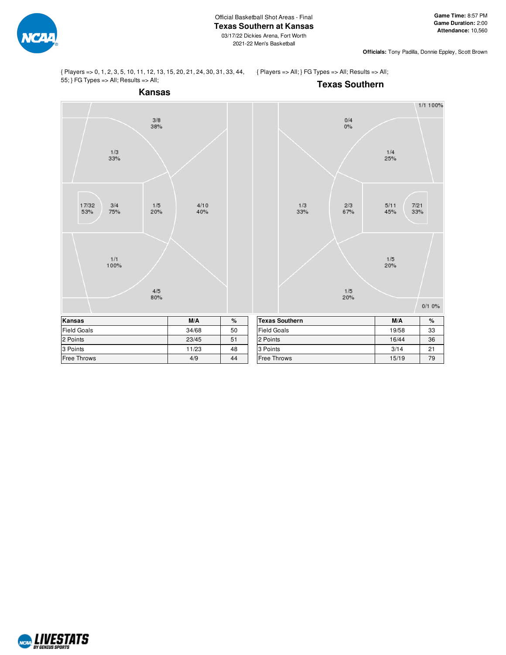

**Officials:** Tony Padilla, Donnie Eppley, Scott Brown

{ Players => 0, 1, 2, 3, 5, 10, 11, 12, 13, 15, 20, 21, 24, 30, 31, 33, 44, 55; } FG Types => All; Results => All;

{ Players => All; } FG Types => All; Results => All;



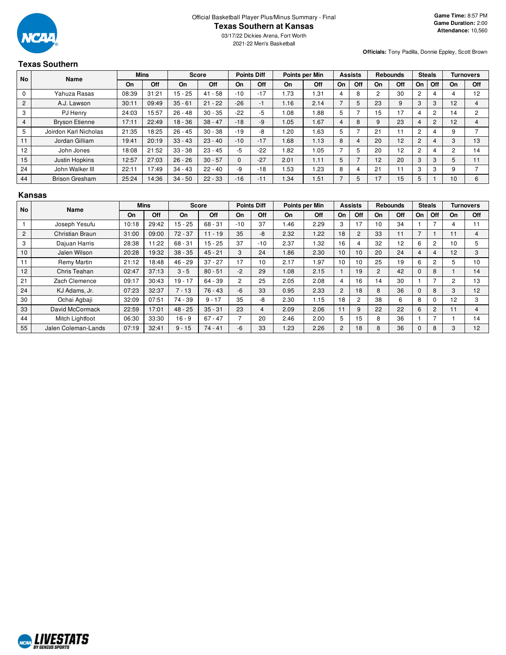

**Officials:** Tony Padilla, Donnie Eppley, Scott Brown

# **Texas Southern**

| <b>No</b>      |                       | <b>Mins</b><br>Name |       | Score     |           | <b>Points Diff</b> |       | Points per Min |      | <b>Assists</b> |                          | <b>Rebounds</b> |     | <b>Steals</b> |                | <b>Turnovers</b> |     |
|----------------|-----------------------|---------------------|-------|-----------|-----------|--------------------|-------|----------------|------|----------------|--------------------------|-----------------|-----|---------------|----------------|------------------|-----|
|                |                       | On                  | Off   | On        | Off       | On                 | Off   | On             | Off  | On             | Off                      | On              | Off | On            | Off            | On               | Off |
| 0              | Yahuza Rasas          | 08:39               | 31:21 | $15 - 25$ | $41 - 58$ | $-10$              | $-17$ | 1.73           | 1.31 | 4              | 8                        | c               | 30  |               | 4              | 4                | 12  |
| $\overline{2}$ | A.J. Lawson           | 30:11               | 09:49 | $35 - 61$ | $21 - 22$ | $-26$              | -1    | 1.16           | 2.14 |                | 5                        | 23              | 9   |               | 3              | 12               |     |
| 3              | PJ Henry              | 24:03               | 15:57 | $26 - 48$ | $30 - 35$ | $-22$              | -5    | .08            | .88  | 5              |                          | 15              | 7   |               | $\overline{2}$ | 14               |     |
| 4              | <b>Bryson Etienne</b> | 17:11               | 22:49 | $18 - 36$ | $38 - 47$ | $-18$              | $-9$  | 1.05           | 1.67 | 4              | 8                        | 9               | 23  |               | 2              | 12               |     |
| 5              | Joirdon Karl Nicholas | 21:35               | 18:25 | $26 - 45$ | $30 - 38$ | $-19$              | -8    | .20            | 1.63 | 5              |                          | 21              |     | C             | 4              | 9                |     |
| 11             | Jordan Gilliam        | 19:41               | 20:19 | $33 - 43$ | $23 - 40$ | $-10$              | $-17$ | 1.68           | 1.13 | 8              | 4                        | 20              | 12  |               | 4              | 3                | 13  |
| 12             | John Jones            | 18:08               | 21:52 | $33 - 38$ | $23 - 45$ | $-5$               | $-22$ | .82            | 1.05 |                | 5                        | 20              | 12  |               | 4              | 2                | 14  |
| 15             | Justin Hopkins        | 12:57               | 27:03 | $26 - 26$ | $30 - 57$ | $\Omega$           | $-27$ | 2.01           | 1.11 | 5              | $\overline{\phantom{0}}$ | 12              | 20  | 3             | 3              | 5                |     |
| 24             | John Walker III       | 22:11               | 17:49 | $34 - 43$ | $22 - 40$ | -9                 | $-18$ | .53            | 1.23 | 8              | 4                        | 21              |     |               | 3              | 9                |     |
| 44             | <b>Brison Gresham</b> | 25:24               | 14:36 | $34 - 50$ | $22 - 33$ | $-16$              | $-11$ | .34            | 1.51 |                | 5                        | 17              | 15  |               |                | 10               |     |

#### **Kansas**

| <b>No</b>      | Name                |       | <b>Mins</b> |           | <b>Score</b> |                | <b>Points Diff</b> |      | Points per Min |                | <b>Assists</b> |                | <b>Rebounds</b> |              | <b>Steals</b>  |    | Turnovers  |
|----------------|---------------------|-------|-------------|-----------|--------------|----------------|--------------------|------|----------------|----------------|----------------|----------------|-----------------|--------------|----------------|----|------------|
|                |                     | On    | Off         | On        | Off          | On             | Off                | On   | Off            | On             | Off            | On             | <b>Off</b>      | On           | Off            | On | <b>Off</b> |
|                | Joseph Yesufu       | 10:18 | 29:42       | $15 - 25$ | $68 - 31$    | $-10$          | 37                 | .46  | 2.29           | 3              | 17             | 10             | 34              |              |                | 4  | 11         |
| $\overline{2}$ | Christian Braun     | 31:00 | 09:00       | $72 - 37$ | $11 - 19$    | 35             | -8                 | 2.32 | 1.22           | 18             | 2              | 33             | 11              | 7            |                | 11 | 4          |
| 3              | Daiuan Harris       | 28:38 | 11:22       | $68 - 31$ | $15 - 25$    | 37             | $-10$              | 2.37 | 1.32           | 16             | 4              | 32             | 12              | 6            | $\overline{2}$ | 10 | 5          |
| 10             | Jalen Wilson        | 20:28 | 19:32       | $38 - 35$ | $45 - 21$    | 3              | 24                 | 1.86 | 2.30           | 10             | 10             | 20             | 24              | 4            | $\overline{4}$ | 12 | 3          |
| 11             | Remy Martin         | 21:12 | 18:48       | $46 - 29$ | $37 - 27$    | 17             | 10                 | 2.17 | 1.97           | 10             | 10             | 25             | 19              | 6            | $\overline{2}$ | 5  | 10         |
| 12             | Chris Teahan        | 02:47 | 37:13       | $3 - 5$   | $80 - 51$    | $-2$           | 29                 | 1.08 | 2.15           |                | 19             | $\overline{2}$ | 42              | $\mathbf{0}$ | 8              |    | 14         |
| 21             | Zach Clemence       | 09:17 | 30:43       | $19 - 17$ | 64 - 39      | $\overline{c}$ | 25                 | 2.05 | 2.08           | 4              | 16             | 14             | 30              |              |                | 2  | 13         |
| 24             | KJ Adams, Jr.       | 07:23 | 32:37       | $7 - 13$  | $76 - 43$    | $-6$           | 33                 | 0.95 | 2.33           | $\overline{2}$ | 18             | 8              | 36              | 0            | 8              | 3  | 12         |
| 30             | Ochai Agbaji        | 32:09 | 07:51       | 74 - 39   | $9 - 17$     | 35             | -8                 | 2.30 | 1.15           | 18             | $\overline{2}$ | 38             | 6               | 8            | $\mathbf 0$    | 12 | 3          |
| 33             | David McCormack     | 22:59 | 17:01       | $48 - 25$ | $35 - 31$    | 23             | 4                  | 2.09 | 2.06           | 11             | 9              | 22             | 22              | 6            | 2              | 11 | 4          |
| 44             | Mitch Lightfoot     | 06:30 | 33:30       | $16 - 9$  | $67 - 47$    |                | 20                 | 2.46 | 2.00           | 5              | 15             | 8              | 36              |              | $\overline{7}$ |    | 14         |
| 55             | Jalen Coleman-Lands | 07:19 | 32:41       | $9 - 15$  | $74 - 41$    | -6             | 33                 | .23  | 2.26           | 2              | 18             | 8              | 36              | 0            | 8              | 3  | 12         |

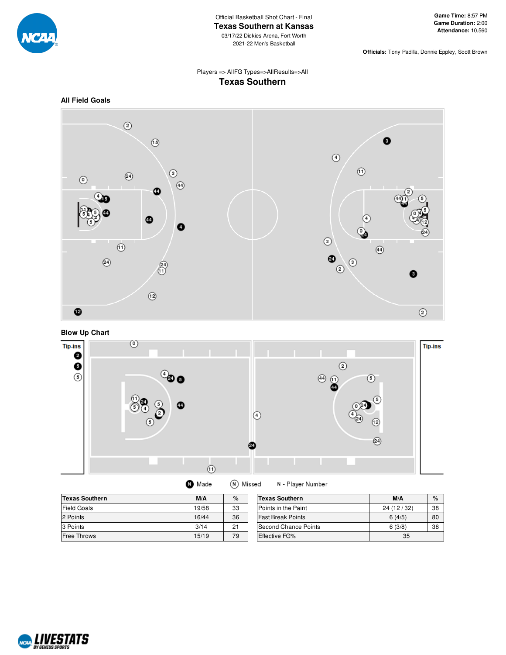

**Officials:** Tony Padilla, Donnie Eppley, Scott Brown

# Players => AllFG Types=>AllResults=>All **Texas Southern**









| <b>Texas Southern</b> | M/A   | %  | Texas    |
|-----------------------|-------|----|----------|
| <b>Field Goals</b>    | 19/58 | 33 | Points i |
| 2 Points              | 16/44 | 36 | Fast Br  |
| 3 Points              | 3/14  | 21 | Second   |
| <b>Free Throws</b>    | 15/19 | 79 | Effectiv |

| <b>Texas Southern</b>       | M/A        | %  |
|-----------------------------|------------|----|
| Points in the Paint         | 24 (12/32) | 38 |
| lFast Break Points          | 6(4/5)     | 80 |
| <b>Second Chance Points</b> | 6(3/8)     | 38 |
| <b>Effective FG%</b>        | 35         |    |

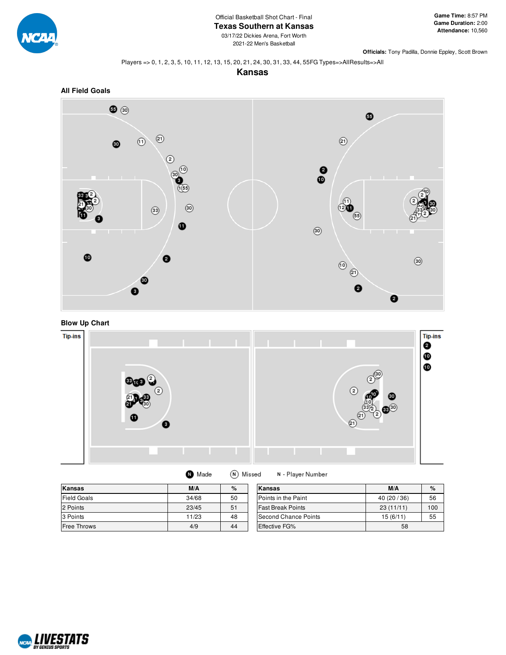

03/17/22 Dickies Arena, Fort Worth 2021-22 Men's Basketball

**Officials:** Tony Padilla, Donnie Eppley, Scott Brown

#### Players => 0, 1, 2, 3, 5, 10, 11, 12, 13, 15, 20, 21, 24, 30, 31, 33, 44, 55FG Types=>AllResults=>All

**Kansas**



**Blow Up Chart**



(N) Missed **O** Made

N - Player Number

| <b>Kansas</b>      | M/A   | %  | Kansas                   | M/A       | $\%$ |
|--------------------|-------|----|--------------------------|-----------|------|
| <b>Field Goals</b> | 34/68 | 50 | Points in the Paint      | 40(20/36) | 56   |
| 2 Points           | 23/45 | 51 | <b>Fast Break Points</b> | 23(11/11) | 100  |
| 3 Points           | 11/23 | 48 | Second Chance Points     | 15(6/11)  | 55   |
| <b>Free Throws</b> | 4/9   | 44 | <b>Effective FG%</b>     | 58        |      |

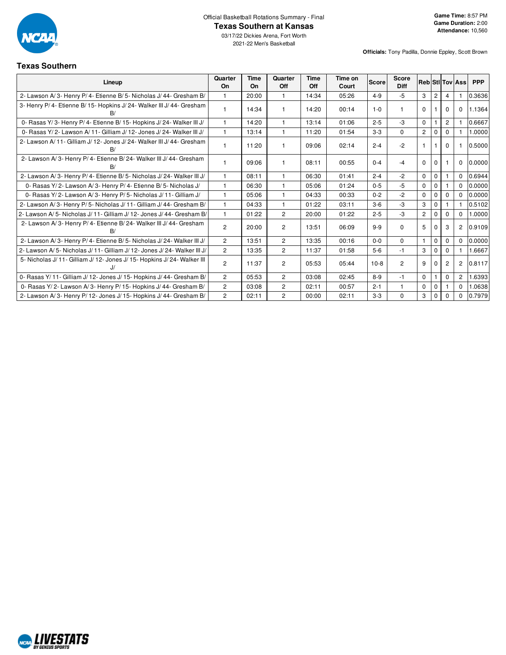

Official Basketball Rotations Summary - Final

## **Texas Southern at Kansas**

03/17/22 Dickies Arena, Fort Worth 2021-22 Men's Basketball

#### **Texas Southern**

| 1 GAUS OGUN 11 GI 1                                                          |                |                   |                |             |                  |              |                             |                |                |                |                        |            |
|------------------------------------------------------------------------------|----------------|-------------------|----------------|-------------|------------------|--------------|-----------------------------|----------------|----------------|----------------|------------------------|------------|
| Lineup                                                                       | Quarter<br>On  | <b>Time</b><br>On | Quarter<br>Off | Time<br>Off | Time on<br>Court | <b>Score</b> | <b>Score</b><br><b>Diff</b> |                |                |                | <b>Reb StI Tov Ass</b> | <b>PPP</b> |
| 2- Lawson A/3- Henry P/4- Etienne B/5- Nicholas J/44- Gresham B/             |                | 20:00             | $\mathbf{1}$   | 14:34       | 05:26            | $4 - 9$      | $-5$                        | 3              | $\overline{2}$ | 4              |                        | 0.3636     |
| 3- Henry P/ 4- Etienne B/ 15- Hopkins J/ 24- Walker III J/ 44- Gresham<br>B/ |                | 14:34             | 1              | 14:20       | 00:14            | $1 - 0$      |                             | $\Omega$       |                | <sup>0</sup>   | $\Omega$               | 1.1364     |
| 0- Rasas Y/3- Henry P/4- Etienne B/15- Hopkins J/24- Walker III J/           |                | 14:20             | 1              | 13:14       | 01:06            | $2 - 5$      | $-3$                        | $\Omega$       |                | $\overline{2}$ |                        | 0.6667     |
| 0- Rasas Y/2- Lawson A/11- Gilliam J/12- Jones J/24- Walker III J/           |                | 13:14             | $\mathbf{1}$   | 11:20       | 01:54            | $3 - 3$      | $\Omega$                    | $\overline{2}$ | $\Omega$       | $\Omega$       |                        | 1.0000     |
| 2- Lawson A/ 11- Gilliam J/ 12- Jones J/ 24- Walker III J/ 44- Gresham<br>B/ |                | 11:20             | 1              | 09:06       | 02:14            | $2 - 4$      | $-2$                        | -1             |                | $\Omega$       |                        | 0.5000     |
| 2- Lawson A/3- Henry P/4- Etienne B/24- Walker III J/44- Gresham<br>B/       |                | 09:06             | 1              | 08:11       | 00:55            | $0 - 4$      | -4                          | $\Omega$       | $\Omega$       |                | $\mathbf 0$            | 0.0000     |
| 2- Lawson A/3- Henry P/4- Etienne B/5- Nicholas J/24- Walker III J/          |                | 08:11             | $\mathbf{1}$   | 06:30       | 01:41            | $2 - 4$      | $-2$                        | $\mathbf 0$    | $\Omega$       |                | $\Omega$               | 0.6944     |
| 0- Rasas Y/2- Lawson A/3- Henry P/4- Etienne B/5- Nicholas J/                |                | 06:30             | 1              | 05:06       | 01:24            | $0 - 5$      | $-5$                        | $\Omega$       | $\Omega$       |                | $\Omega$               | 0.0000     |
| 0- Rasas Y/2- Lawson A/3- Henry P/5- Nicholas J/11- Gilliam J/               |                | 05:06             | $\mathbf{1}$   | 04:33       | 00:33            | $0 - 2$      | $-2$                        | $\Omega$       |                |                | $\Omega$               | 0.0000     |
| 2- Lawson A/3- Henry P/5- Nicholas J/11- Gilliam J/44- Gresham B/            |                | 04:33             | $\mathbf{1}$   | 01:22       | 03:11            | $3-6$        | $-3$                        | 3              | $\Omega$       |                |                        | 0.5102     |
| 2- Lawson A/5- Nicholas J/11- Gilliam J/12- Jones J/44- Gresham B/           |                | 01:22             | $\overline{c}$ | 20:00       | 01:22            | $2 - 5$      | $-3$                        | $\overline{2}$ | $\Omega$       | $\Omega$       | $\Omega$               | 1.0000     |
| 2- Lawson A/3- Henry P/4- Etienne B/24- Walker III J/44- Gresham<br>B/       | $\overline{2}$ | 20:00             | $\overline{c}$ | 13:51       | 06:09            | $9 - 9$      | $\Omega$                    | 5              | 0              | 3              | 2                      | 0.9109     |
| 2- Lawson A/3- Henry P/4- Etienne B/5- Nicholas J/24- Walker III J/          | $\overline{2}$ | 13:51             | $\overline{2}$ | 13:35       | 00:16            | $0 - 0$      | $\Omega$                    | $\mathbf{1}$   | $\Omega$       | $\Omega$       | $\Omega$               | 0.0000     |
| 2- Lawson A/5- Nicholas J/11- Gilliam J/12- Jones J/24- Walker III J/        | $\overline{2}$ | 13:35             | $\overline{2}$ | 11:37       | 01:58            | $5-6$        | $-1$                        | 3              | $\mathbf 0$    | $\Omega$       |                        | 1.6667     |
| 5- Nicholas J/ 11- Gilliam J/ 12- Jones J/ 15- Hopkins J/ 24- Walker III     | 2              | 11:37             | $\overline{c}$ | 05:53       | 05:44            | $10-8$       | $\overline{c}$              | 9              | $\Omega$       | $\overline{2}$ | 2                      | 0.8117     |
| 0- Rasas Y/ 11- Gilliam J/ 12- Jones J/ 15- Hopkins J/ 44- Gresham B/        | $\overline{2}$ | 05:53             | $\overline{2}$ | 03:08       | 02:45            | $8 - 9$      | $-1$                        | $\mathbf 0$    |                | $\Omega$       | $\overline{c}$         | 1.6393     |
| 0- Rasas Y/2- Lawson A/3- Henry P/15- Hopkins J/44- Gresham B/               | $\overline{2}$ | 03:08             | $\overline{c}$ | 02:11       | 00:57            | $2 - 1$      |                             | $\Omega$       | $\Omega$       |                | $\Omega$               | 1.0638     |
| 2- Lawson A/3- Henry P/12- Jones J/15- Hopkins J/44- Gresham B/              | $\overline{2}$ | 02:11             | $\overline{2}$ | 00:00       | 02:11            | $3-3$        | $\Omega$                    | 3              | $\Omega$       | 0              | $\Omega$               | 0.7979     |

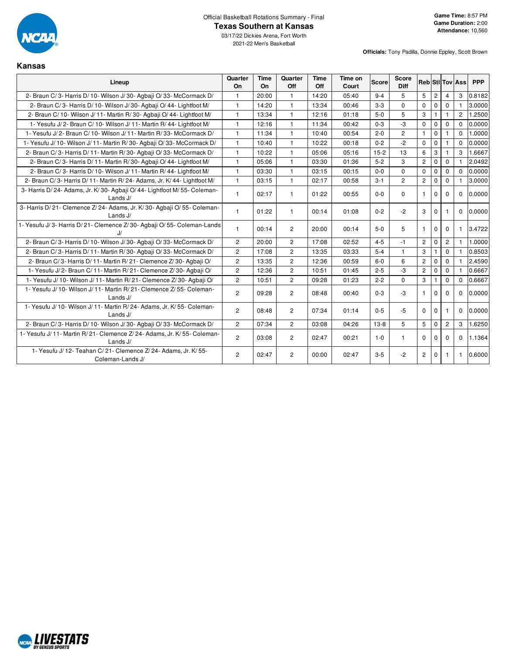

**Officials:** Tony Padilla, Donnie Eppley, Scott Brown

### **Kansas**

| Lineup                                                                                  | Quarter<br>On  | <b>Time</b><br>On | Quarter<br>Off | <b>Time</b><br>Off | Time on<br>Court | <b>Score</b> | <b>Score</b><br><b>Diff</b> |                |                |                | <b>Reb Stl Tov Ass</b> | <b>PPP</b> |
|-----------------------------------------------------------------------------------------|----------------|-------------------|----------------|--------------------|------------------|--------------|-----------------------------|----------------|----------------|----------------|------------------------|------------|
| 2- Braun C/3- Harris D/10- Wilson J/30- Agbaji O/33- McCormack D/                       | $\mathbf{1}$   | 20:00             | $\mathbf{1}$   | 14:20              | 05:40            | $9 - 4$      | 5                           | 5              | $\overline{c}$ | $\overline{4}$ | 3                      | 0.8182     |
| 2- Braun C/3- Harris D/10- Wilson J/30- Agbaji O/44- Lightfoot M/                       | $\mathbf{1}$   | 14:20             | $\mathbf{1}$   | 13:34              | 00:46            | $3 - 3$      | $\mathbf{0}$                | 0              | $\mathbf 0$    | $\Omega$       |                        | 3.0000     |
| 2- Braun C/ 10- Wilson J/ 11- Martin R/ 30- Agbaji O/ 44- Lightfoot M/                  | $\mathbf{1}$   | 13:34             | $\mathbf{1}$   | 12:16              | 01:18            | $5-0$        | 5                           | 3              | $\mathbf{1}$   | $\mathbf{1}$   | $\overline{2}$         | 1.2500     |
| 1- Yesufu J/2- Braun C/10- Wilson J/11- Martin R/44- Lightfoot M/                       | $\mathbf{1}$   | 12:16             | $\mathbf{1}$   | 11:34              | 00:42            | $0 - 3$      | $-3$                        | $\mathbf 0$    | $\mathbf 0$    | $\Omega$       | $\Omega$               | 0.0000     |
| 1- Yesufu J/ 2- Braun C/ 10- Wilson J/ 11- Martin R/ 33- McCormack D/                   | $\mathbf{1}$   | 11:34             | 1              | 10:40              | 00:54            | $2 - 0$      | $\overline{2}$              | $\mathbf{1}$   | $\mathbf{0}$   |                | $\Omega$               | 1.0000     |
| 1- Yesufu J/ 10- Wilson J/ 11- Martin R/ 30- Agbaji O/ 33- McCormack D/                 | $\mathbf{1}$   | 10:40             | $\mathbf{1}$   | 10:22              | 00:18            | $0 - 2$      | $-2$                        | $\Omega$       | $\Omega$       |                | $\Omega$               | 0.0000     |
| 2- Braun C/3- Harris D/11- Martin R/30- Agbaji O/33- McCormack D/                       | $\mathbf{1}$   | 10:22             | 1              | 05:06              | 05:16            | $15-2$       | 13                          | 6              | 3              |                | 3                      | 1.6667     |
| 2- Braun C/3- Harris D/11- Martin R/30- Agbaii O/44- Lightfoot M/                       | $\mathbf{1}$   | 05:06             | $\mathbf{1}$   | 03:30              | 01:36            | $5-2$        | 3                           | $\overline{2}$ | $\mathbf 0$    | $\Omega$       |                        | 2.0492     |
| 2- Braun C/3- Harris D/10- Wilson J/11- Martin R/44- Lightfoot M/                       | $\mathbf{1}$   | 03:30             | $\mathbf{1}$   | 03:15              | 00:15            | $0 - 0$      | $\mathbf 0$                 | 0              | $\mathbf 0$    | $\Omega$       | $\Omega$               | 0.0000     |
| 2- Braun C/3- Harris D/11- Martin R/24- Adams, Jr. K/44- Lightfoot M/                   | $\mathbf{1}$   | 03:15             | $\mathbf{1}$   | 02:17              | 00:58            | $3 - 1$      | $\overline{2}$              | $\overline{2}$ | $\mathbf 0$    | $\Omega$       |                        | 3.0000     |
| 3- Harris D/24- Adams, Jr. K/30- Agbaji O/44- Lightfoot M/55- Coleman-<br>Lands $J/$    | $\mathbf{1}$   | 02:17             | $\mathbf{1}$   | 01:22              | 00:55            | $0 - 0$      | $\Omega$                    | $\mathbf{1}$   | $\Omega$       | $\Omega$       | $\Omega$               | 0.0000     |
| 3- Harris D/21 - Clemence Z/24 - Adams, Jr. K/30 - Agbaji O/55 - Coleman-<br>Lands $J/$ | $\mathbf{1}$   | 01:22             | 1              | 00:14              | 01:08            | $0 - 2$      | $-2$                        | 3              | $\mathbf{0}$   | 1              | $\Omega$               | 0.0000     |
| 1- Yesufu J/3- Harris D/21- Clemence Z/30- Agbaji O/55- Coleman-Lands                   | $\mathbf{1}$   | 00:14             | $\overline{2}$ | 20:00              | 00:14            | $5-0$        | 5                           | $\mathbf{1}$   | $\mathbf{0}$   | $\Omega$       | -1                     | 3.4722     |
| 2- Braun C/3- Harris D/10- Wilson J/30- Agbaii O/33- McCormack D/                       | $\overline{c}$ | 20:00             | $\overline{2}$ | 17:08              | 02:52            | $4 - 5$      | $-1$                        | $\overline{2}$ | $\mathbf{0}$   | $\overline{c}$ |                        | 1.0000     |
| 2- Braun C/3- Harris D/11- Martin R/30- Agbaii O/33- McCormack D/                       | $\overline{2}$ | 17:08             | $\overline{2}$ | 13:35              | 03:33            | $5 - 4$      | $\mathbf{1}$                | 3              | $\mathbf{1}$   | $\Omega$       |                        | 0.8503     |
| 2- Braun C/3- Harris D/11- Martin R/21- Clemence Z/30- Agbaii O/                        | $\overline{2}$ | 13:35             | $\overline{2}$ | 12:36              | 00:59            | $6 - 0$      | 6                           | $\overline{2}$ | $\Omega$       | $\Omega$       |                        | 2.4590     |
| 1- Yesufu J/2- Braun C/11- Martin R/21- Clemence Z/30- Agbaii O/                        | $\overline{2}$ | 12:36             | $\overline{c}$ | 10:51              | 01:45            | $2 - 5$      | -3                          | $\overline{2}$ | $\mathbf 0$    | $\mathbf 0$    | $\mathbf{1}$           | 0.6667     |
| 1- Yesufu J/ 10- Wilson J/ 11- Martin R/ 21- Clemence Z/ 30- Agbaji O/                  | $\overline{c}$ | 10:51             | 2              | 09:28              | 01:23            | $2 - 2$      | $\Omega$                    | 3              |                | $\Omega$       | $\Omega$               | 0.6667     |
| 1- Yesufu J/ 10- Wilson J/ 11- Martin R/ 21- Clemence Z/ 55- Coleman-<br>Lands J/       | $\overline{c}$ | 09:28             | 2              | 08:48              | 00:40            | $0 - 3$      | $-3$                        | $\mathbf{1}$   | $\Omega$       | $\Omega$       | $\Omega$               | 0.0000     |
| 1- Yesufu J/ 10- Wilson J/ 11- Martin R/ 24- Adams, Jr. K/ 55- Coleman-<br>Lands J/     | $\overline{2}$ | 08:48             | $\overline{2}$ | 07:34              | 01:14            | $0 - 5$      | $-5$                        | $\Omega$       | $\mathbf 0$    | 1              | $\Omega$               | 0.0000     |
| 2- Braun C/3- Harris D/10- Wilson J/30- Agbaji O/33- McCormack D/                       | $\overline{2}$ | 07:34             | $\overline{2}$ | 03:08              | 04:26            | $13-8$       | 5                           | 5              | $\mathbf{0}$   | $\overline{c}$ | 3                      | 1.6250     |
| 1- Yesufu J/11- Martin R/21- Clemence Z/24- Adams, Jr. K/55- Coleman-<br>Lands J/       | $\overline{2}$ | 03:08             | $\overline{2}$ | 02:47              | 00:21            | $1 - 0$      | $\mathbf{1}$                | $\mathbf 0$    | $\mathbf 0$    | $\Omega$       | $\Omega$               | 1.1364     |
| 1- Yesufu J/ 12- Teahan C/ 21- Clemence Z/ 24- Adams, Jr. K/ 55-<br>Coleman-Lands J/    | $\overline{2}$ | 02:47             | $\overline{2}$ | 00:00              | 02:47            | $3-5$        | $-2$                        | $\overline{2}$ | $\mathbf 0$    | 1              | -1                     | 0.6000     |

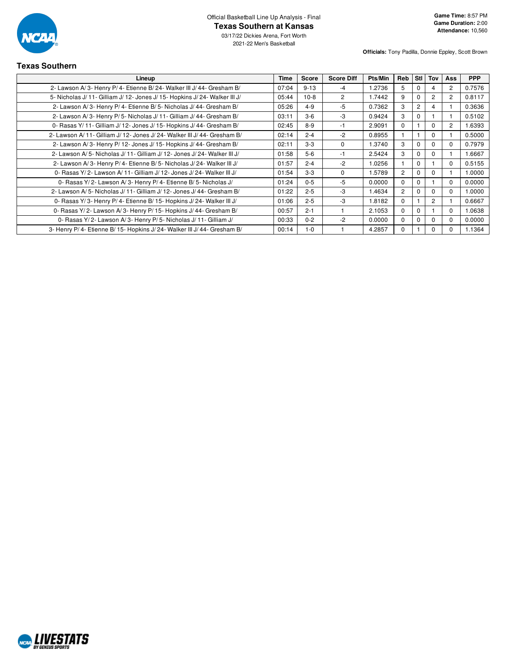

**Officials:** Tony Padilla, Donnie Eppley, Scott Brown

# **Texas Southern**

| Lineup                                                                      | <b>Time</b> | <b>Score</b> | <b>Score Diff</b> | Pts/Min | <b>Reb</b>     | Stl I          | Tov            | <b>Ass</b>     | <b>PPP</b> |
|-----------------------------------------------------------------------------|-------------|--------------|-------------------|---------|----------------|----------------|----------------|----------------|------------|
| 2- Lawson A/3- Henry P/4- Etienne B/24- Walker III J/44- Gresham B/         | 07:04       | $9 - 13$     | -4                | 1.2736  | 5.             | 0              | 4              | $\overline{2}$ | 0.7576     |
| 5- Nicholas J/ 11- Gilliam J/ 12- Jones J/ 15- Hopkins J/ 24- Walker III J/ | 05:44       | $10-8$       | $\overline{2}$    | 1.7442  | 9              | $\Omega$       | $\overline{2}$ | $\overline{2}$ | 0.8117     |
| 2- Lawson A/3- Henry P/4- Etienne B/5- Nicholas J/44- Gresham B/            | 05:26       | $4 - 9$      | $-5$              | 0.7362  | 3              | $\overline{2}$ | 4              |                | 0.3636     |
| 2- Lawson A/3- Henry P/5- Nicholas J/11- Gilliam J/44- Gresham B/           | 03:11       | $3-6$        | $-3$              | 0.9424  | 3              | $\Omega$       |                |                | 0.5102     |
| 0- Rasas Y/ 11- Gilliam J/ 12- Jones J/ 15- Hopkins J/ 44- Gresham B/       | 02:45       | $8-9$        | -1                | 2.9091  | $\Omega$       |                | $\Omega$       | $\overline{2}$ | 1.6393     |
| 2- Lawson A/11- Gilliam J/12- Jones J/24- Walker III J/44- Gresham B/       | 02:14       | $2 - 4$      | $-2$              | 0.8955  |                |                | $\Omega$       |                | 0.5000     |
| 2- Lawson A/3- Henry P/12- Jones J/15- Hopkins J/44- Gresham B/             | 02:11       | $3-3$        | $\mathbf 0$       | 1.3740  | 3              | $\Omega$       | $\Omega$       | 0              | 0.7979     |
| 2- Lawson A/5- Nicholas J/11- Gilliam J/12- Jones J/24- Walker III J/       | 01:58       | $5-6$        | -1                | 2.5424  | 3              | 0              | 0              |                | 1.6667     |
| 2- Lawson A/3- Henry P/4- Etienne B/5- Nicholas J/24- Walker III J/         | 01:57       | $2 - 4$      | $-2$              | 1.0256  |                | $\Omega$       |                | $\Omega$       | 0.5155     |
| 0- Rasas Y/2- Lawson A/11- Gilliam J/12- Jones J/24- Walker III J/          | 01:54       | $3-3$        | $\Omega$          | 1.5789  | $\overline{2}$ | $\Omega$       | $\Omega$       |                | 1.0000     |
| 0- Rasas Y/2- Lawson A/3- Henry P/4- Etienne B/5- Nicholas J/               | 01:24       | $0 - 5$      | -5                | 0.0000  | $\Omega$       | $\Omega$       |                | $\Omega$       | 0.0000     |
| 2- Lawson A/5- Nicholas J/11- Gilliam J/12- Jones J/44- Gresham B/          | 01:22       | $2 - 5$      | -3                | 1.4634  | $\overline{2}$ | $\Omega$       | $\Omega$       | 0              | 1.0000     |
| 0- Rasas Y/3- Henry P/4- Etienne B/15- Hopkins J/24- Walker III J/          | 01:06       | $2 - 5$      | -3                | 1.8182  | $\Omega$       |                | $\overline{c}$ |                | 0.6667     |
| 0- Rasas Y/2- Lawson A/3- Henry P/15- Hopkins J/44- Gresham B/              | 00:57       | $2 - 1$      |                   | 2.1053  | $\Omega$       | $\Omega$       |                | $\Omega$       | 1.0638     |
| 0- Rasas Y/2- Lawson A/3- Henry P/5- Nicholas J/11- Gilliam J/              | 00:33       | $0 - 2$      | $-2$              | 0.0000  | $\Omega$       | $\Omega$       | $\Omega$       | 0              | 0.0000     |
| 3- Henry P/4- Etienne B/15- Hopkins J/24- Walker III J/44- Gresham B/       | 00:14       | $1 - 0$      |                   | 4.2857  | 0              |                |                |                | 1.1364     |